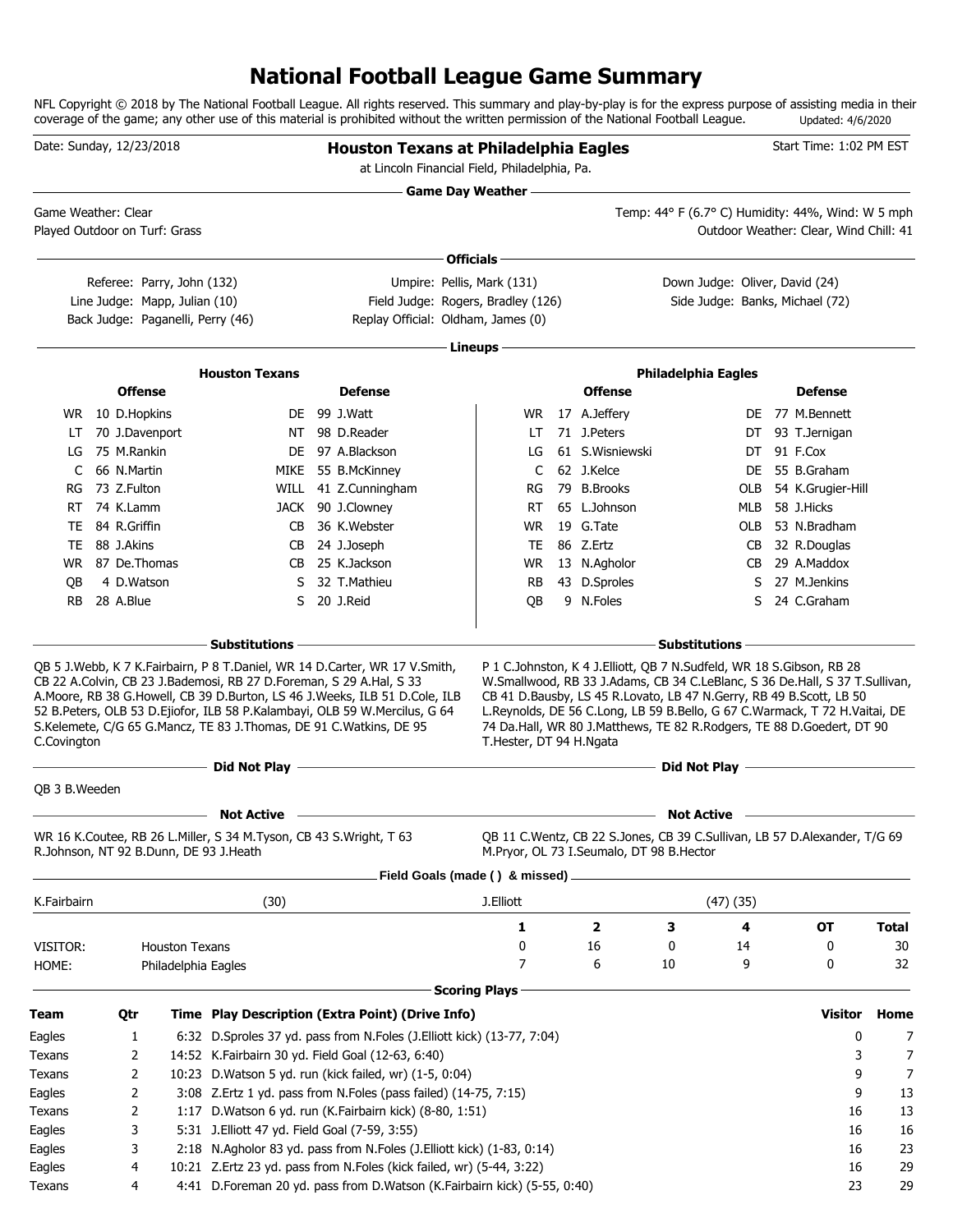# **National Football League Game Summary**

NFL Copyright © 2018 by The National Football League. All rights reserved. This summary and play-by-play is for the express purpose of assisting media in their coverage of the game; any other use of this material is prohibited without the written permission of the National Football League. Updated: 4/6/2020

| Date: Sunday, 12/23/2018      |                                   |                               |                                                                                                                                           | <b>Houston Texans at Philadelphia Eagles</b><br>at Lincoln Financial Field, Philadelphia, Pa.                                                            |                                |                                                                                                                                                                                                                                                                                                           |                            |               | Start Time: 1:02 PM EST                           |                |              |
|-------------------------------|-----------------------------------|-------------------------------|-------------------------------------------------------------------------------------------------------------------------------------------|----------------------------------------------------------------------------------------------------------------------------------------------------------|--------------------------------|-----------------------------------------------------------------------------------------------------------------------------------------------------------------------------------------------------------------------------------------------------------------------------------------------------------|----------------------------|---------------|---------------------------------------------------|----------------|--------------|
| Game Weather: Clear           |                                   |                               |                                                                                                                                           |                                                                                                                                                          | <b>Game Day Weather --</b>     |                                                                                                                                                                                                                                                                                                           |                            |               | Temp: 44° F (6.7° C) Humidity: 44%, Wind: W 5 mph |                |              |
| Played Outdoor on Turf: Grass |                                   |                               |                                                                                                                                           |                                                                                                                                                          |                                |                                                                                                                                                                                                                                                                                                           |                            |               | Outdoor Weather: Clear, Wind Chill: 41            |                |              |
|                               |                                   |                               |                                                                                                                                           |                                                                                                                                                          | Officials -                    |                                                                                                                                                                                                                                                                                                           |                            |               |                                                   |                |              |
|                               |                                   | Referee: Parry, John (132)    |                                                                                                                                           |                                                                                                                                                          | Umpire: Pellis, Mark (131)     |                                                                                                                                                                                                                                                                                                           |                            |               | Down Judge: Oliver, David (24)                    |                |              |
|                               |                                   | Line Judge: Mapp, Julian (10) |                                                                                                                                           | Field Judge: Rogers, Bradley (126)                                                                                                                       |                                |                                                                                                                                                                                                                                                                                                           |                            |               | Side Judge: Banks, Michael (72)                   |                |              |
|                               |                                   |                               | Back Judge: Paganelli, Perry (46)                                                                                                         | Replay Official: Oldham, James (0)                                                                                                                       |                                |                                                                                                                                                                                                                                                                                                           |                            |               |                                                   |                |              |
|                               |                                   |                               |                                                                                                                                           |                                                                                                                                                          | Lineups -                      |                                                                                                                                                                                                                                                                                                           |                            |               |                                                   |                |              |
|                               |                                   |                               |                                                                                                                                           |                                                                                                                                                          |                                |                                                                                                                                                                                                                                                                                                           |                            |               |                                                   |                |              |
|                               | <b>Offense</b>                    |                               | <b>Houston Texans</b>                                                                                                                     | <b>Defense</b>                                                                                                                                           |                                | <b>Offense</b>                                                                                                                                                                                                                                                                                            | <b>Philadelphia Eagles</b> |               | <b>Defense</b>                                    |                |              |
|                               |                                   |                               |                                                                                                                                           | DE 99 J.Watt                                                                                                                                             |                                |                                                                                                                                                                                                                                                                                                           |                            | DE.           | 77 M.Bennett                                      |                |              |
| LT                            | WR 10 D.Hopkins<br>70 J.Davenport |                               |                                                                                                                                           | NT 98 D.Reader                                                                                                                                           | LT                             | WR 17 A.Jeffery<br>71 J.Peters                                                                                                                                                                                                                                                                            |                            | DT            | 93 T.Jernigan                                     |                |              |
| LG                            | 75 M.Rankin                       |                               |                                                                                                                                           | DE 97 A.Blackson                                                                                                                                         | LG                             | 61 S.Wisniewski                                                                                                                                                                                                                                                                                           |                            | DT            | 91 F.Cox                                          |                |              |
| C                             | 66 N.Martin                       |                               |                                                                                                                                           | MIKE 55 B.McKinney                                                                                                                                       | C                              | 62 J.Kelce                                                                                                                                                                                                                                                                                                |                            | DE            | 55 B.Graham                                       |                |              |
| RG                            | 73 Z.Fulton                       |                               |                                                                                                                                           | WILL 41 Z.Cunningham                                                                                                                                     | RG                             | 79 B.Brooks                                                                                                                                                                                                                                                                                               |                            | OLB           | 54 K.Grugier-Hill                                 |                |              |
| RT                            | 74 K.Lamm                         |                               |                                                                                                                                           | JACK 90 J.Clowney                                                                                                                                        | RT                             | 65 L.Johnson                                                                                                                                                                                                                                                                                              |                            | MLB           | 58 J.Hicks                                        |                |              |
| TE                            | 84 R.Griffin                      |                               | CB.                                                                                                                                       | 36 K.Webster                                                                                                                                             | <b>WR</b>                      | 19 G.Tate                                                                                                                                                                                                                                                                                                 |                            | OLB           | 53 N.Bradham                                      |                |              |
| TE.                           | 88 J.Akins                        |                               | CB                                                                                                                                        | 24 J.Joseph                                                                                                                                              | TE                             | 86 Z.Ertz                                                                                                                                                                                                                                                                                                 |                            |               | CB 32 R.Douglas                                   |                |              |
|                               | WR 87 De. Thomas                  |                               |                                                                                                                                           | CB 25 K.Jackson                                                                                                                                          | WR                             | 13 N.Agholor                                                                                                                                                                                                                                                                                              |                            | CB            | 29 A.Maddox                                       |                |              |
| OВ                            | 4 D.Watson                        |                               | S                                                                                                                                         | 32 T.Mathieu                                                                                                                                             | <b>RB</b>                      | 43 D.Sproles                                                                                                                                                                                                                                                                                              |                            | S.            | 27 M.Jenkins                                      |                |              |
| <b>RB</b>                     | 28 A.Blue                         |                               | S.                                                                                                                                        | 20 J.Reid                                                                                                                                                | QB                             | 9 N.Foles                                                                                                                                                                                                                                                                                                 |                            | S.            | 24 C.Graham                                       |                |              |
|                               |                                   |                               |                                                                                                                                           |                                                                                                                                                          |                                |                                                                                                                                                                                                                                                                                                           |                            |               |                                                   |                |              |
| C.Covington                   |                                   |                               | CB 22 A.Colvin, CB 23 J.Bademosi, RB 27 D.Foreman, S 29 A.Hal, S 33<br>S.Kelemete, C/G 65 G.Mancz, TE 83 J.Thomas, DE 91 C.Watkins, DE 95 | A.Moore, RB 38 G.Howell, CB 39 D.Burton, LS 46 J.Weeks, ILB 51 D.Cole, ILB<br>52 B.Peters, OLB 53 D.Ejiofor, ILB 58 P.Kalambayi, OLB 59 W.Mercilus, G 64 | T.Hester, DT 94 H.Ngata        | W.Smallwood, RB 33 J.Adams, CB 34 C.LeBlanc, S 36 De.Hall, S 37 T.Sullivan,<br>CB 41 D.Bausby, LS 45 R.Lovato, LB 47 N.Gerry, RB 49 B.Scott, LB 50<br>L.Reynolds, DE 56 C.Long, LB 59 B.Bello, G 67 C.Warmack, T 72 H.Vaitai, DE<br>74 Da.Hall, WR 80 J.Matthews, TE 82 R.Rodgers, TE 88 D.Goedert, DT 90 |                            |               |                                                   |                |              |
|                               |                                   |                               | Did Not Play                                                                                                                              | the control of the control of the control of the control of the control of the                                                                           |                                |                                                                                                                                                                                                                                                                                                           | Did Not Play -             |               |                                                   |                |              |
| QB 3 B.Weeden                 |                                   |                               |                                                                                                                                           |                                                                                                                                                          |                                |                                                                                                                                                                                                                                                                                                           |                            |               |                                                   |                |              |
|                               |                                   |                               | <b>Not Active</b>                                                                                                                         |                                                                                                                                                          |                                |                                                                                                                                                                                                                                                                                                           | <b>Not Active</b>          |               |                                                   |                |              |
|                               |                                   |                               | WR 16 K.Coutee, RB 26 L.Miller, S 34 M.Tyson, CB 43 S.Wright, T 63<br>R.Johnson, NT 92 B.Dunn, DE 93 J.Heath                              |                                                                                                                                                          |                                | QB 11 C.Wentz, CB 22 S.Jones, CB 39 C.Sullivan, LB 57 D.Alexander, T/G 69<br>M.Pryor, OL 73 I.Seumalo, DT 98 B.Hector                                                                                                                                                                                     |                            |               |                                                   |                |              |
|                               |                                   |                               |                                                                                                                                           |                                                                                                                                                          | Field Goals (made () & missed) |                                                                                                                                                                                                                                                                                                           |                            |               |                                                   |                |              |
| K.Fairbairn                   |                                   |                               | (30)                                                                                                                                      |                                                                                                                                                          | J.Elliott                      |                                                                                                                                                                                                                                                                                                           |                            | $(47)$ $(35)$ |                                                   |                |              |
|                               |                                   |                               |                                                                                                                                           |                                                                                                                                                          | 1                              | 2                                                                                                                                                                                                                                                                                                         | З                          | 4             | <b>OT</b>                                         |                | <b>Total</b> |
| VISITOR:                      |                                   | Houston Texans                |                                                                                                                                           |                                                                                                                                                          | 0                              | 16                                                                                                                                                                                                                                                                                                        | 0                          | 14            | 0                                                 |                | 30           |
| HOME:                         |                                   | Philadelphia Eagles           |                                                                                                                                           |                                                                                                                                                          | 7                              | 6                                                                                                                                                                                                                                                                                                         | 10                         | 9             | 0                                                 |                | 32           |
|                               |                                   |                               |                                                                                                                                           |                                                                                                                                                          |                                |                                                                                                                                                                                                                                                                                                           |                            |               |                                                   |                |              |
|                               |                                   |                               |                                                                                                                                           |                                                                                                                                                          | <b>Scoring Plays</b>           |                                                                                                                                                                                                                                                                                                           |                            |               |                                                   |                |              |
| <b>Team</b>                   | Qtr                               |                               |                                                                                                                                           | Time Play Description (Extra Point) (Drive Info)                                                                                                         |                                |                                                                                                                                                                                                                                                                                                           |                            |               |                                                   | <b>Visitor</b> | Home         |
| Eagles                        | 1                                 |                               |                                                                                                                                           | 6:32 D.Sproles 37 yd. pass from N.Foles (J.Elliott kick) (13-77, 7:04)                                                                                   |                                |                                                                                                                                                                                                                                                                                                           |                            |               |                                                   | 0              | 7            |
| Texans                        | 2                                 |                               |                                                                                                                                           | 14:52 K.Fairbairn 30 yd. Field Goal (12-63, 6:40)                                                                                                        |                                |                                                                                                                                                                                                                                                                                                           |                            |               |                                                   | 3              | 7            |
| Texans                        | 2                                 |                               |                                                                                                                                           | 10:23 D. Watson 5 yd. run (kick failed, wr) (1-5, 0:04)                                                                                                  |                                |                                                                                                                                                                                                                                                                                                           |                            |               |                                                   | 9              | 7            |
| Eagles                        | 2                                 |                               |                                                                                                                                           | 3:08 Z.Ertz 1 yd. pass from N.Foles (pass failed) (14-75, 7:15)                                                                                          |                                |                                                                                                                                                                                                                                                                                                           |                            |               |                                                   | 9              | 13           |
| Texans                        | 2                                 |                               |                                                                                                                                           | 1:17 D. Watson 6 yd. run (K. Fairbairn kick) (8-80, 1:51)                                                                                                |                                |                                                                                                                                                                                                                                                                                                           |                            |               |                                                   | 16             | 13           |
| Eagles                        | 3                                 |                               | 5:31 J. Elliott 47 yd. Field Goal (7-59, 3:55)                                                                                            |                                                                                                                                                          |                                |                                                                                                                                                                                                                                                                                                           |                            |               |                                                   | 16             | 16           |
| Eagles                        | 3                                 |                               |                                                                                                                                           | 2:18 N.Agholor 83 yd. pass from N.Foles (J.Elliott kick) (1-83, 0:14)                                                                                    |                                |                                                                                                                                                                                                                                                                                                           |                            |               |                                                   | 16             | 23           |
| Eagles                        | 4                                 |                               |                                                                                                                                           | 10:21 Z.Ertz 23 yd. pass from N.Foles (kick failed, wr) (5-44, 3:22)                                                                                     |                                |                                                                                                                                                                                                                                                                                                           |                            |               |                                                   | 16             | 29           |
| Texans                        | 4                                 |                               |                                                                                                                                           | 4:41 D.Foreman 20 yd. pass from D.Watson (K.Fairbairn kick) (5-55, 0:40)                                                                                 |                                |                                                                                                                                                                                                                                                                                                           |                            |               |                                                   | 23             | 29           |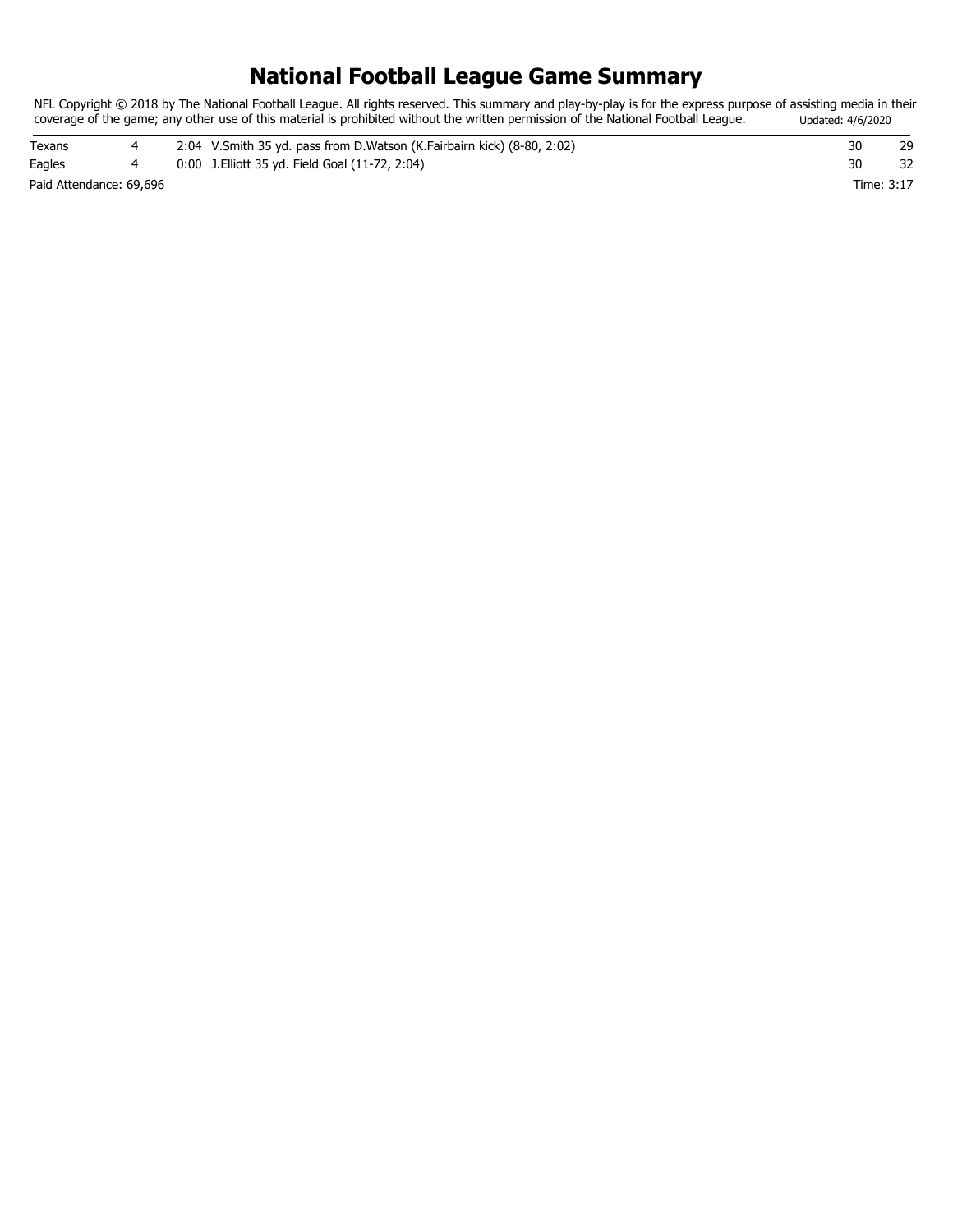# **National Football League Game Summary**

NFL Copyright © 2018 by The National Football League. All rights reserved. This summary and play-by-play is for the express purpose of assisting media in their coverage of the game; any other use of this material is prohibited without the written permission of the National Football League. Updated: 4/6/2020

| Texans                  |  | 2:04 V.Smith 35 yd. pass from D.Watson (K.Fairbairn kick) (8-80, 2:02) | 30         |  |
|-------------------------|--|------------------------------------------------------------------------|------------|--|
| Eagles                  |  | 0:00 J. Elliott 35 yd. Field Goal (11-72, 2:04)                        | 30         |  |
| Paid Attendance: 69,696 |  |                                                                        | Time: 3:17 |  |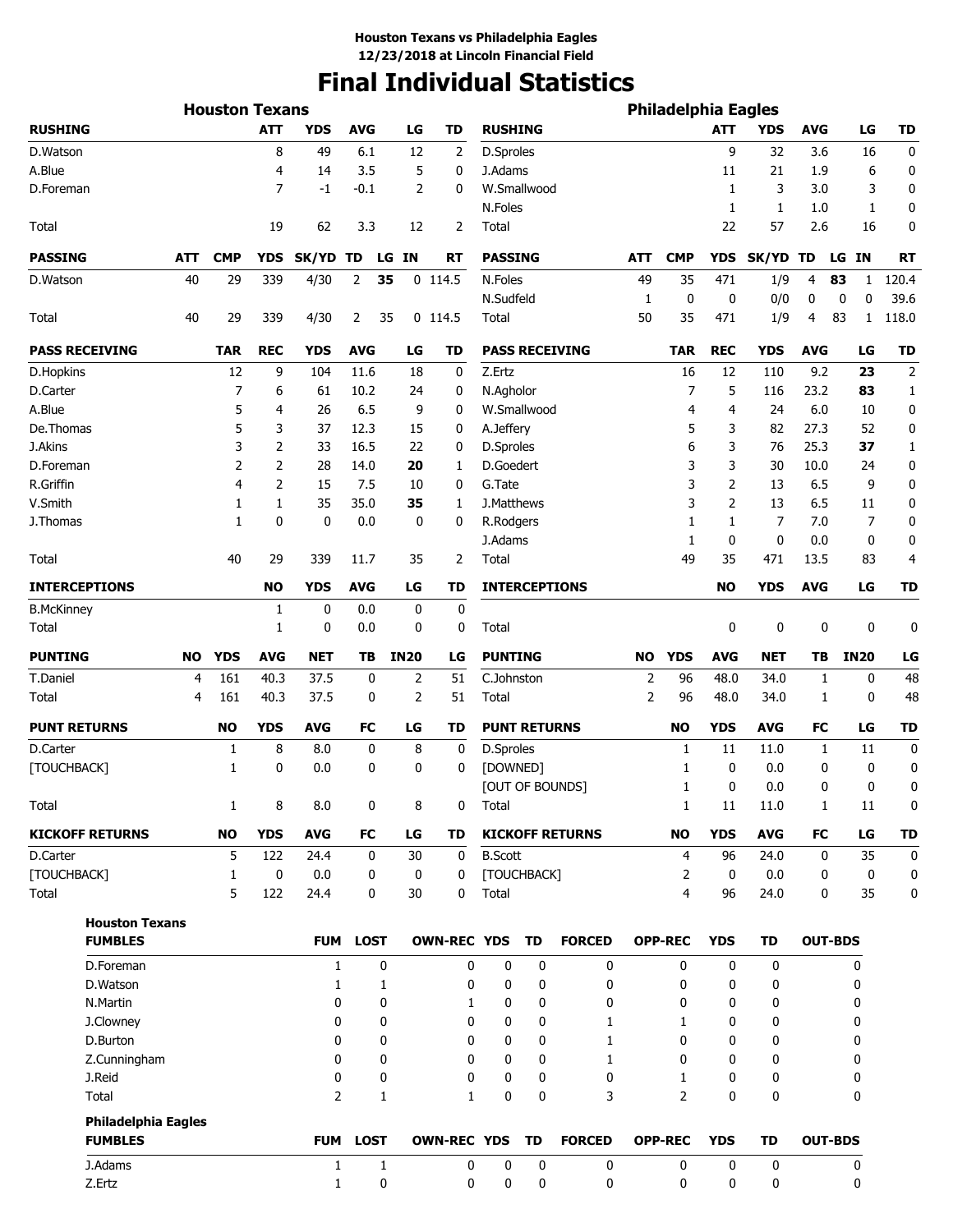# **Final Individual Statistics**

|                            |     | <b>Houston Texans</b> |                |                |             |             |                    |                     |           |                        |                | <b>Philadelphia Eagles</b> |                |              |            |                  |           |
|----------------------------|-----|-----------------------|----------------|----------------|-------------|-------------|--------------------|---------------------|-----------|------------------------|----------------|----------------------------|----------------|--------------|------------|------------------|-----------|
| <b>RUSHING</b>             |     |                       | ATT            | YDS            | <b>AVG</b>  | LG          | <b>TD</b>          | <b>RUSHING</b>      |           |                        |                |                            | ATT            | <b>YDS</b>   | <b>AVG</b> | LG               | TD        |
| D.Watson                   |     |                       | 8              | 49             | 6.1         | 12          | 2                  | D.Sproles           |           |                        |                |                            | 9              | 32           | 3.6        | 16               | 0         |
| A.Blue                     |     |                       | 4              | 14             | 3.5         | 5           | 0                  | J.Adams             |           |                        |                |                            | 11             | 21           | 1.9        | 6                | 0         |
| D.Foreman                  |     |                       | 7              | $-1$           | $-0.1$      | 2           | 0                  | W.Smallwood         |           |                        |                |                            | 1              | 3            | 3.0        | 3                | 0         |
|                            |     |                       |                |                |             |             |                    | N.Foles             |           |                        |                |                            | 1              | 1            | 1.0        | 1                | 0         |
| Total                      |     |                       | 19             | 62             | 3.3         | 12          | 2                  | Total               |           |                        |                |                            | 22             | 57           | 2.6        | 16               | 0         |
| <b>PASSING</b>             | ATT | <b>CMP</b>            | <b>YDS</b>     | SK/YD TD       |             | LG IN       | RT                 | <b>PASSING</b>      |           |                        | <b>ATT</b>     | <b>CMP</b>                 | YDS            | <b>SK/YD</b> | TD         | LG IN            | <b>RT</b> |
| D.Watson                   | 40  | 29                    | 339            | 4/30           | 2           | 35          | $0$ 114.5          | N.Foles             |           |                        | 49             | 35                         | 471            | 1/9          | 4          | 83<br>1          | 120.4     |
|                            |     |                       |                |                |             |             |                    | N.Sudfeld           |           |                        | 1              | 0                          | 0              | 0/0          | 0          | $\mathbf 0$<br>0 | 39.6      |
| Total                      | 40  | 29                    | 339            | 4/30           | 2           | 35          | $0$ 114.5          | Total               |           |                        | 50             | 35                         | 471            | 1/9          | 4          | 83<br>1          | 118.0     |
| <b>PASS RECEIVING</b>      |     | <b>TAR</b>            | <b>REC</b>     | <b>YDS</b>     | <b>AVG</b>  | LG          | TD                 |                     |           | <b>PASS RECEIVING</b>  |                | <b>TAR</b>                 | <b>REC</b>     | <b>YDS</b>   | <b>AVG</b> | LG               | <b>TD</b> |
| D.Hopkins                  |     | 12                    | 9              | 104            | 11.6        | 18          | 0                  | Z.Ertz              |           |                        |                | 16                         | 12             | 110          | 9.2        | 23               | 2         |
| D.Carter                   |     | 7                     | 6              | 61             | 10.2        | 24          | 0                  | N.Agholor           |           |                        |                | 7                          | 5              | 116          | 23.2       | 83               | 1         |
| A.Blue                     |     | 5                     | 4              | 26             | 6.5         | 9           | 0                  | W.Smallwood         |           |                        |                | 4                          | 4              | 24           | 6.0        | 10               | 0         |
| De.Thomas                  |     | 5                     | 3              | 37             | 12.3        | 15          | 0                  | A.Jeffery           |           |                        |                | 5                          | 3              | 82           | 27.3       | 52               | 0         |
| J.Akins                    |     | 3                     | $\overline{2}$ | 33             | 16.5        | 22          | 0                  | D.Sproles           |           |                        |                | 6                          | 3              | 76           | 25.3       | 37               | 1         |
| D.Foreman                  |     | $\overline{2}$        | $\overline{2}$ | 28             | 14.0        | 20          | 1                  | D.Goedert           |           |                        |                | 3                          | 3              | 30           | 10.0       | 24               | 0         |
| R.Griffin                  |     | 4                     | $\overline{2}$ | 15             | 7.5         | 10          | 0                  | G.Tate              |           |                        |                | 3                          | $\overline{2}$ | 13           | 6.5        | 9                | 0         |
| V.Smith                    |     | 1                     | 1              | 35             | 35.0        | 35          | 1                  | J.Matthews          |           |                        |                | 3                          | $\overline{2}$ | 13           | 6.5        | 11               | 0         |
| J.Thomas                   |     | 1                     | 0              | $\mathbf 0$    | 0.0         | 0           | 0                  | R.Rodgers           |           |                        |                | 1                          | 1              | 7            | 7.0        | 7                | 0         |
|                            |     |                       |                |                |             |             |                    | J.Adams             |           |                        |                | 1                          | 0              | $\mathbf 0$  | 0.0        | 0                | 0         |
| Total                      |     | 40                    | 29             | 339            | 11.7        | 35          | 2                  | Total               |           |                        |                | 49                         | 35             | 471          | 13.5       | 83               | 4         |
| <b>INTERCEPTIONS</b>       |     |                       | <b>NO</b>      | <b>YDS</b>     | <b>AVG</b>  | LG          | TD                 |                     |           | <b>INTERCEPTIONS</b>   |                |                            | <b>NO</b>      | <b>YDS</b>   | <b>AVG</b> | LG               | <b>TD</b> |
| <b>B.McKinney</b>          |     |                       | 1              | 0              | 0.0         | 0           | $\bf{0}$           |                     |           |                        |                |                            |                |              |            |                  |           |
| Total                      |     |                       | 1              | 0              | 0.0         | 0           | 0                  | Total               |           |                        |                |                            | 0              | 0            | 0          | 0                | 0         |
| <b>PUNTING</b>             | NO  | <b>YDS</b>            | <b>AVG</b>     | <b>NET</b>     | TВ          | <b>IN20</b> | LG                 | <b>PUNTING</b>      |           |                        | NO             | <b>YDS</b>                 | <b>AVG</b>     | <b>NET</b>   | ΤВ         | <b>IN20</b>      | LG        |
| T.Daniel                   | 4   | 161                   | 40.3           | 37.5           | 0           | 2           | 51                 | C.Johnston          |           |                        | 2              | 96                         | 48.0           | 34.0         | 1          | 0                | 48        |
| Total                      | 4   | 161                   | 40.3           | 37.5           | 0           | 2           | 51                 | Total               |           |                        | $\overline{2}$ | 96                         | 48.0           | 34.0         | 1          | 0                | 48        |
| <b>PUNT RETURNS</b>        |     | NO                    | <b>YDS</b>     | <b>AVG</b>     | FC          | LG          | TD                 | <b>PUNT RETURNS</b> |           |                        |                | NO                         | <b>YDS</b>     | <b>AVG</b>   | FC         | LG               | <b>TD</b> |
| D.Carter                   |     | 1                     | 8              | 8.0            | 0           | 8           | 0                  | D.Sproles           |           |                        |                | 1                          | 11             | 11.0         | 1          | 11               | 0         |
| [TOUCHBACK]                |     | 1                     | 0              | 0.0            | 0           | 0           | 0                  | [DOWNED]            |           | [OUT OF BOUNDS]        |                | 1<br>1                     | 0<br>0         | 0.0<br>0.0   | 0<br>0     | 0<br>0           | 0<br>0    |
| Total                      |     | $\mathbf{1}$          | 8              | 8.0            | 0           | 8           | 0                  | Total               |           |                        |                | $\mathbf{1}$               | 11             | 11.0         | 1          | 11               | 0         |
| <b>KICKOFF RETURNS</b>     |     | <b>NO</b>             | <b>YDS</b>     | <b>AVG</b>     | FC          | LG          | <b>TD</b>          |                     |           | <b>KICKOFF RETURNS</b> |                | <b>NO</b>                  | <b>YDS</b>     | <b>AVG</b>   | FC         | LG               | <b>TD</b> |
| D.Carter                   |     | 5                     | 122            | 24.4           | 0           | 30          | 0                  | <b>B.Scott</b>      |           |                        |                | 4                          | 96             | 24.0         | 0          | 35               | 0         |
| [TOUCHBACK]                |     | $\mathbf{1}$          | 0              | 0.0            | 0           | 0           | 0                  | [TOUCHBACK]         |           |                        |                | 2                          | 0              | 0.0          | 0          | 0                | 0         |
| Total                      |     | 5                     | 122            | 24.4           | 0           | 30          | 0                  | Total               |           |                        |                | $\overline{4}$             | 96             | 24.0         | 0          | 35               | 0         |
| <b>Houston Texans</b>      |     |                       |                |                |             |             |                    |                     |           |                        |                |                            |                |              |            |                  |           |
| <b>FUMBLES</b>             |     |                       |                | <b>FUM</b>     | <b>LOST</b> |             | <b>OWN-REC YDS</b> |                     | <b>TD</b> | <b>FORCED</b>          |                | <b>OPP-REC</b>             | <b>YDS</b>     | <b>TD</b>    |            | <b>OUT-BDS</b>   |           |
| D.Foreman                  |     |                       |                | $\mathbf{1}$   | 0           |             | 0                  | 0                   | 0         | 0                      |                | 0                          | 0              | 0            |            | 0                |           |
| D.Watson                   |     |                       |                | 1              | 1           |             | 0                  | $\mathbf 0$         | 0         | 0                      |                | 0                          | 0              | 0            |            | 0                |           |
| N.Martin                   |     |                       |                | 0              | 0           |             | 1                  | 0                   | 0         | 0                      |                | 0                          | 0              | 0            |            | 0                |           |
| J.Clowney                  |     |                       |                | 0              | 0           |             | 0                  | 0                   | 0         | 1                      |                | 1                          | 0              | 0            |            | 0                |           |
| D.Burton                   |     |                       |                | 0              | 0           |             | 0                  | 0                   | 0         | 1                      |                | 0                          | 0              | 0            |            | 0                |           |
| Z.Cunningham               |     |                       |                | 0              | 0           |             | 0                  | 0                   | 0         | 1                      |                | 0                          | 0              | 0            |            | 0                |           |
| J.Reid                     |     |                       |                | 0              | 0           |             | 0                  | $\mathbf 0$         | 0         | 0                      |                | 1                          | 0              | 0            |            | 0                |           |
| Total                      |     |                       |                | $\overline{2}$ | 1           |             | $\mathbf{1}$       | $\bf{0}$            | 0         | 3                      |                | 2                          | 0              | 0            |            | 0                |           |
| <b>Philadelphia Eagles</b> |     |                       |                |                |             |             |                    |                     |           |                        |                |                            |                |              |            |                  |           |
| <b>FUMBLES</b>             |     |                       |                |                | FUM LOST    |             | <b>OWN-REC YDS</b> |                     | TD        | <b>FORCED</b>          |                | <b>OPP-REC</b>             | <b>YDS</b>     | <b>TD</b>    |            | <b>OUT-BDS</b>   |           |
| J.Adams                    |     |                       |                | 1              | 1<br>0      |             | 0                  | 0                   | 0         | 0<br>0                 |                | 0                          | 0<br>0         | 0<br>0       |            | 0                |           |
| Z.Ertz                     |     |                       |                | $\mathbf{1}$   |             |             | 0                  | 0                   | 0         |                        |                | 0                          |                |              |            | 0                |           |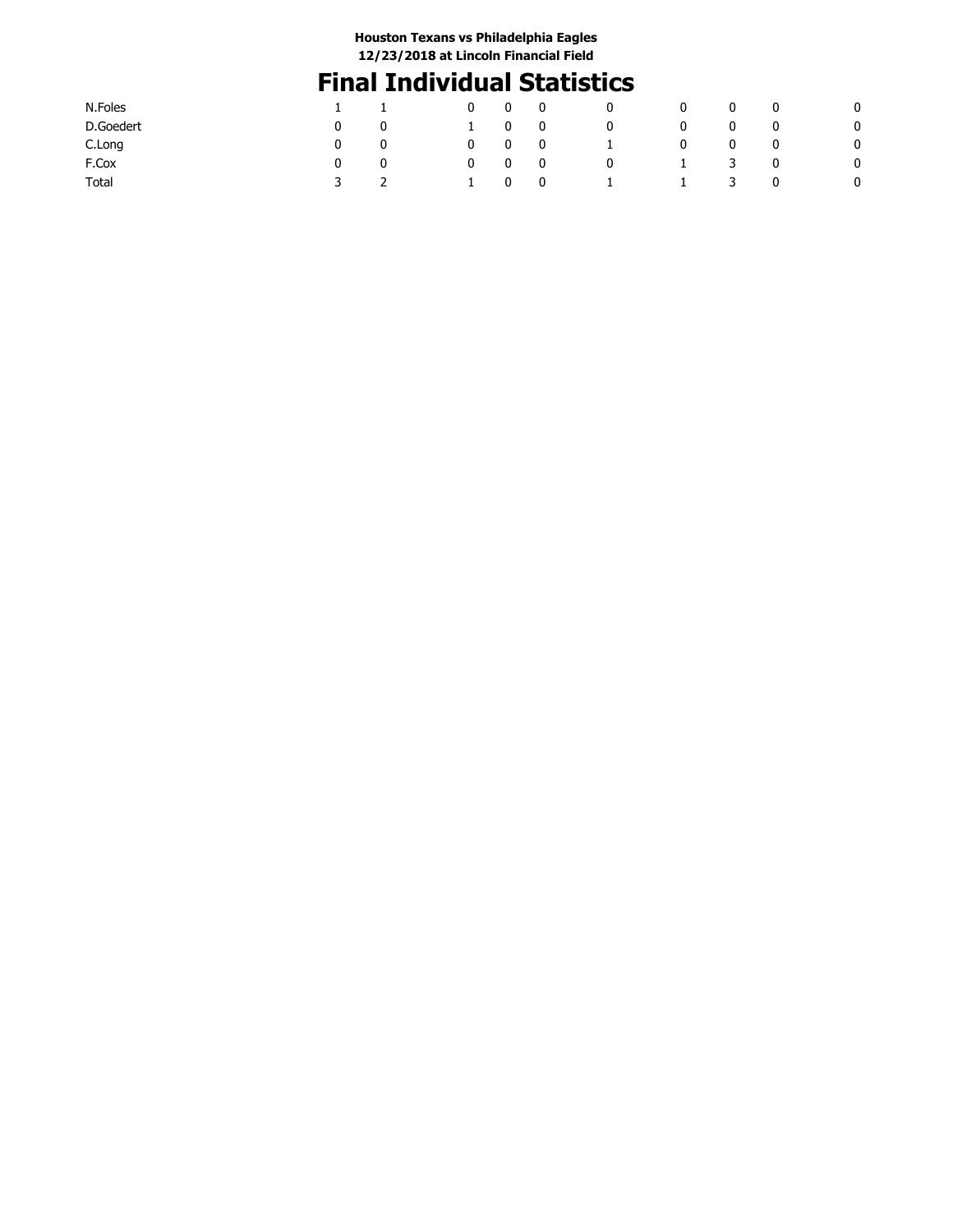# **Final Individual Statistics**

| N.Foles   |   |   | 0 | 0 | $\mathbf{0}$ | 0            | 0            | 0 | 0 | - 0 |
|-----------|---|---|---|---|--------------|--------------|--------------|---|---|-----|
| D.Goedert |   | 0 |   | 0 | $\mathbf 0$  | 0            |              | 0 | 0 | 0   |
| C.Long    |   | 0 | 0 | 0 | $\mathbf 0$  | $\mathbf{I}$ | 0            | 0 | 0 | 0   |
| F.Cox     |   | 0 | 0 | 0 | 0            | 0            | $\mathbf{I}$ | 3 | 0 | 0   |
| Total     | 3 |   |   | 0 | $\mathbf 0$  |              | 1.           | 3 | 0 | 0   |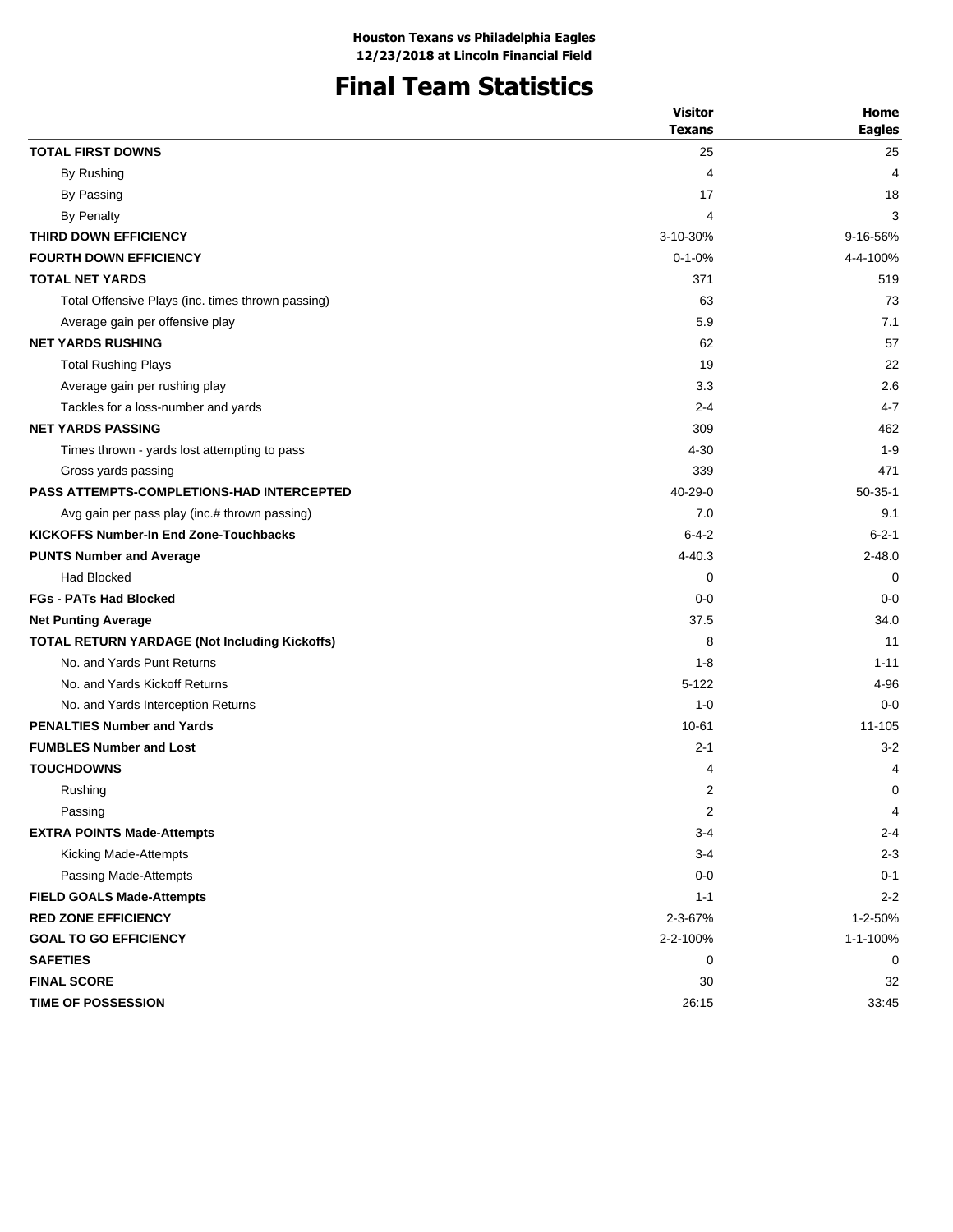# **Final Team Statistics**

|                                                      | <b>Visitor</b> | Home          |
|------------------------------------------------------|----------------|---------------|
|                                                      | <b>Texans</b>  | <b>Eagles</b> |
| <b>TOTAL FIRST DOWNS</b>                             | 25             | 25            |
| By Rushing                                           | 4              | 4             |
| By Passing                                           | 17             | 18            |
| By Penalty                                           | 4              | 3             |
| THIRD DOWN EFFICIENCY                                | 3-10-30%       | 9-16-56%      |
| <b>FOURTH DOWN EFFICIENCY</b>                        | $0 - 1 - 0%$   | 4-4-100%      |
| <b>TOTAL NET YARDS</b>                               | 371            | 519           |
| Total Offensive Plays (inc. times thrown passing)    | 63             | 73            |
| Average gain per offensive play                      | 5.9            | 7.1           |
| <b>NET YARDS RUSHING</b>                             | 62             | 57            |
| <b>Total Rushing Plays</b>                           | 19             | 22            |
| Average gain per rushing play                        | 3.3            | 2.6           |
| Tackles for a loss-number and yards                  | $2 - 4$        | $4 - 7$       |
| <b>NET YARDS PASSING</b>                             | 309            | 462           |
| Times thrown - yards lost attempting to pass         | 4-30           | $1 - 9$       |
| Gross yards passing                                  | 339            | 471           |
| <b>PASS ATTEMPTS-COMPLETIONS-HAD INTERCEPTED</b>     | $40 - 29 - 0$  | $50-35-1$     |
| Avg gain per pass play (inc.# thrown passing)        | 7.0            | 9.1           |
| <b>KICKOFFS Number-In End Zone-Touchbacks</b>        | $6 - 4 - 2$    | $6 - 2 - 1$   |
| <b>PUNTS Number and Average</b>                      | $4 - 40.3$     | $2 - 48.0$    |
| <b>Had Blocked</b>                                   | 0              | 0             |
| <b>FGs - PATs Had Blocked</b>                        | $0 - 0$        | $0 - 0$       |
| <b>Net Punting Average</b>                           | 37.5           | 34.0          |
| <b>TOTAL RETURN YARDAGE (Not Including Kickoffs)</b> | 8              | 11            |
| No. and Yards Punt Returns                           | $1 - 8$        | $1 - 11$      |
| No. and Yards Kickoff Returns                        | $5 - 122$      | 4-96          |
| No. and Yards Interception Returns                   | $1 - 0$        | $0 - 0$       |
| <b>PENALTIES Number and Yards</b>                    | $10 - 61$      | 11-105        |
| <b>FUMBLES Number and Lost</b>                       | $2 - 1$        | $3 - 2$       |
| <b>TOUCHDOWNS</b>                                    | 4              | 4             |
| Rushing                                              | 2              | 0             |
| Passing                                              | 2              | 4             |
| <b>EXTRA POINTS Made-Attempts</b>                    | $3 - 4$        | $2 - 4$       |
| Kicking Made-Attempts                                | $3 - 4$        | $2 - 3$       |
| Passing Made-Attempts                                | $0 - 0$        | $0 - 1$       |
| <b>FIELD GOALS Made-Attempts</b>                     | $1 - 1$        | $2 - 2$       |
| <b>RED ZONE EFFICIENCY</b>                           | 2-3-67%        | 1-2-50%       |
| <b>GOAL TO GO EFFICIENCY</b>                         | 2-2-100%       | 1-1-100%      |
| <b>SAFETIES</b>                                      | 0              | 0             |
| <b>FINAL SCORE</b>                                   | 30             | 32            |
| <b>TIME OF POSSESSION</b>                            | 26:15          | 33:45         |
|                                                      |                |               |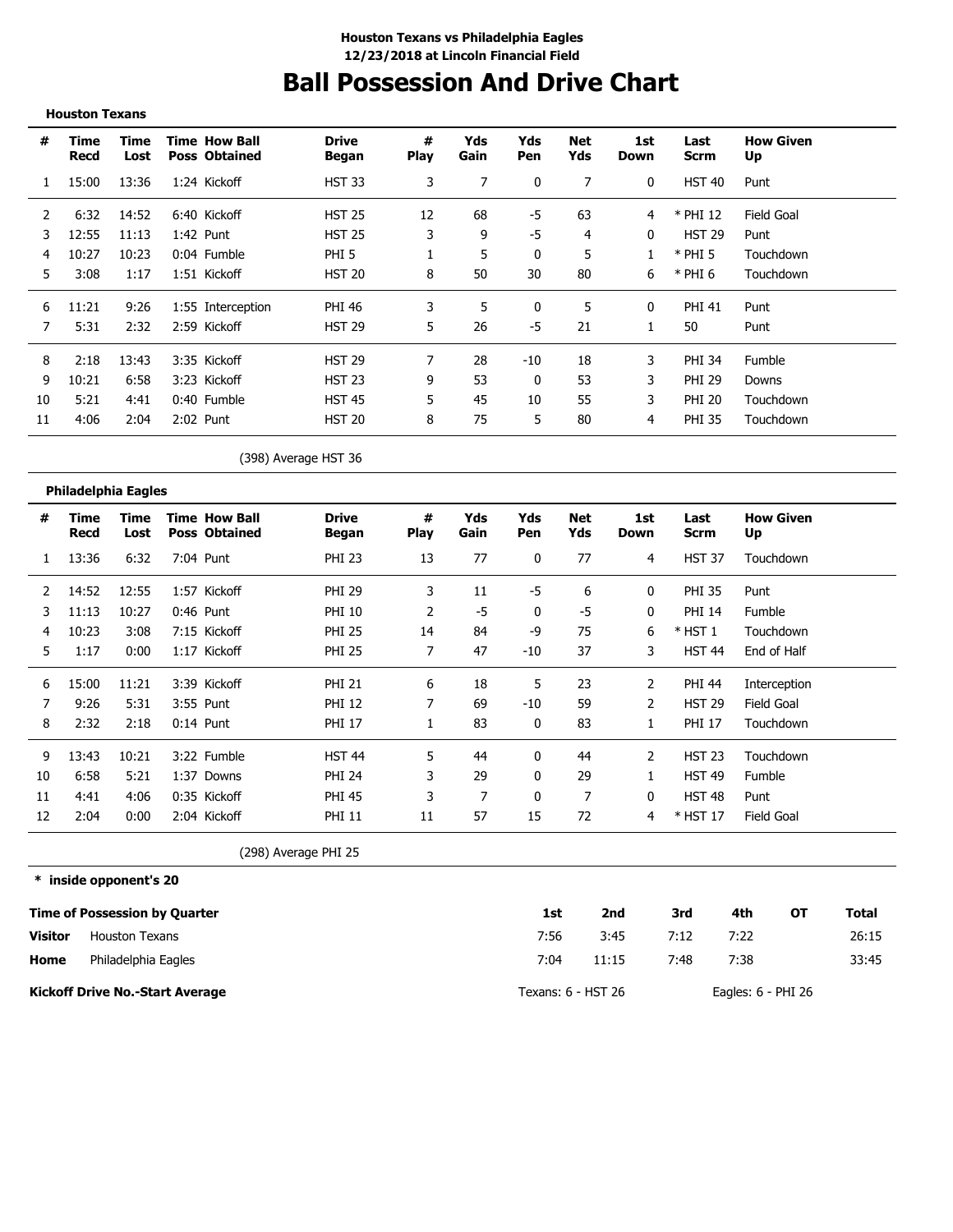# **Ball Possession And Drive Chart**

|                | <b>Houston Texans</b>                |                       |                                              |                              |                  |                |            |                   |                    |                     |            |                  |              |
|----------------|--------------------------------------|-----------------------|----------------------------------------------|------------------------------|------------------|----------------|------------|-------------------|--------------------|---------------------|------------|------------------|--------------|
| #              | Time<br>Recd                         | <b>Time</b><br>Lost   | <b>Time How Ball</b><br><b>Poss Obtained</b> | <b>Drive</b><br><b>Began</b> | #<br><b>Play</b> | Yds<br>Gain    | Yds<br>Pen | <b>Net</b><br>Yds | 1st<br><b>Down</b> | Last<br><b>Scrm</b> | Up         | <b>How Given</b> |              |
| 1              | 15:00                                | 13:36                 | 1:24 Kickoff                                 | <b>HST 33</b>                | 3                | $\overline{7}$ | 0          | $\overline{7}$    | 0                  | <b>HST 40</b>       | Punt       |                  |              |
| 2              | 6:32                                 | 14:52                 | 6:40 Kickoff                                 | <b>HST 25</b>                | 12               | 68             | $-5$       | 63                | 4                  | * PHI 12            | Field Goal |                  |              |
| 3              | 12:55                                | 11:13                 | 1:42 Punt                                    | <b>HST 25</b>                | 3                | 9              | -5         | 4                 | 0                  | <b>HST 29</b>       | Punt       |                  |              |
| 4              | 10:27                                | 10:23                 | 0:04 Fumble                                  | PHI <sub>5</sub>             | 1                | 5              | 0          | 5                 | 1                  | $*$ PHI 5           |            | Touchdown        |              |
| 5              | 3:08                                 | 1:17                  | 1:51 Kickoff                                 | <b>HST 20</b>                | 8                | 50             | 30         | 80                | 6                  | $*$ PHI 6           |            | Touchdown        |              |
| 6              | 11:21                                | 9:26                  | 1:55 Interception                            | <b>PHI 46</b>                | 3                | 5              | 0          | 5                 | 0                  | <b>PHI 41</b>       | Punt       |                  |              |
| 7              | 5:31                                 | 2:32                  | 2:59 Kickoff                                 | <b>HST 29</b>                | 5                | 26             | $-5$       | 21                | $\mathbf{1}$       | 50                  | Punt       |                  |              |
| 8              | 2:18                                 | 13:43                 | 3:35 Kickoff                                 | <b>HST 29</b>                | 7                | 28             | $-10$      | 18                | 3                  | <b>PHI 34</b>       | Fumble     |                  |              |
| 9              | 10:21                                | 6:58                  | 3:23 Kickoff                                 | <b>HST 23</b>                | 9                | 53             | 0          | 53                | 3                  | <b>PHI 29</b>       | Downs      |                  |              |
| 10             | 5:21                                 | 4:41                  | 0:40 Fumble                                  | <b>HST 45</b>                | 5                | 45             | 10         | 55                | 3                  | <b>PHI 20</b>       |            | Touchdown        |              |
| 11             | 4:06                                 | 2:04                  | 2:02 Punt                                    | <b>HST 20</b>                | 8                | 75             | 5          | 80                | 4                  | <b>PHI 35</b>       |            | Touchdown        |              |
|                |                                      |                       |                                              | (398) Average HST 36         |                  |                |            |                   |                    |                     |            |                  |              |
|                | <b>Philadelphia Eagles</b>           |                       |                                              |                              |                  |                |            |                   |                    |                     |            |                  |              |
| #              | Time<br>Recd                         | Time<br>Lost          | <b>Time How Ball</b><br><b>Poss Obtained</b> | <b>Drive</b><br><b>Began</b> | #<br><b>Play</b> | Yds<br>Gain    | Yds<br>Pen | Net<br>Yds        | 1st<br>Down        | Last<br><b>Scrm</b> | Up         | <b>How Given</b> |              |
| 1              | 13:36                                | 6:32                  | 7:04 Punt                                    | <b>PHI 23</b>                | 13               | 77             | 0          | 77                | 4                  | <b>HST 37</b>       |            | Touchdown        |              |
| 2              | 14:52                                | 12:55                 | 1:57 Kickoff                                 | <b>PHI 29</b>                | 3                | 11             | $-5$       | 6                 | 0                  | <b>PHI 35</b>       | Punt       |                  |              |
| 3              | 11:13                                | 10:27                 | 0:46 Punt                                    | <b>PHI 10</b>                | 2                | $-5$           | 0          | $-5$              | 0                  | <b>PHI 14</b>       | Fumble     |                  |              |
| 4              | 10:23                                | 3:08                  | 7:15 Kickoff                                 | <b>PHI 25</b>                | 14               | 84             | -9         | 75                | 6                  | $*$ HST 1           |            | Touchdown        |              |
| 5              | 1:17                                 | 0:00                  | 1:17 Kickoff                                 | <b>PHI 25</b>                | $\overline{7}$   | 47             | $-10$      | 37                | 3                  | <b>HST 44</b>       |            | End of Half      |              |
| 6              | 15:00                                | 11:21                 | 3:39 Kickoff                                 | <b>PHI 21</b>                | 6                | 18             | 5          | 23                | $\overline{2}$     | <b>PHI 44</b>       |            | Interception     |              |
| 7              | 9:26                                 | 5:31                  | 3:55 Punt                                    | <b>PHI 12</b>                | 7                | 69             | $-10$      | 59                | 2                  | <b>HST 29</b>       | Field Goal |                  |              |
| 8              | 2:32                                 | 2:18                  | $0:14$ Punt                                  | <b>PHI 17</b>                | 1                | 83             | 0          | 83                | $\mathbf{1}$       | <b>PHI 17</b>       |            | Touchdown        |              |
| 9              | 13:43                                | 10:21                 | 3:22 Fumble                                  | <b>HST 44</b>                | 5                | 44             | 0          | 44                | $\overline{2}$     | <b>HST 23</b>       |            | Touchdown        |              |
| 10             | 6:58                                 | 5:21                  | 1:37 Downs                                   | <b>PHI 24</b>                | 3                | 29             | 0          | 29                | $\mathbf{1}$       | <b>HST 49</b>       | Fumble     |                  |              |
| 11             | 4:41                                 | 4:06                  | 0:35 Kickoff                                 | <b>PHI 45</b>                | 3                | $\overline{7}$ | 0          | $\overline{7}$    | 0                  | <b>HST 48</b>       | Punt       |                  |              |
| 12             | 2:04                                 | 0:00                  | 2:04 Kickoff                                 | <b>PHI 11</b>                | 11               | 57             | 15         | 72                | 4                  | * HST 17            | Field Goal |                  |              |
|                |                                      |                       |                                              | (298) Average PHI 25         |                  |                |            |                   |                    |                     |            |                  |              |
|                | * inside opponent's 20               |                       |                                              |                              |                  |                |            |                   |                    |                     |            |                  |              |
|                | <b>Time of Possession by Quarter</b> |                       |                                              |                              |                  |                | 1st        |                   | 2nd                | 3rd                 | 4th        | OT               | <b>Total</b> |
| <b>Visitor</b> |                                      | <b>Houston Texans</b> |                                              |                              |                  |                | 7:56       |                   | 3:45               | 7:12                | 7:22       |                  | 26:15        |
| Home           |                                      | Philadelphia Eagles   |                                              |                              |                  |                | 7:04       |                   | 11:15              | 7:48                | 7:38       |                  | 33:45        |

**Kickoff Drive No.-Start Average**

Texans: 6 - HST 26 Eagles: 6 - PHI 26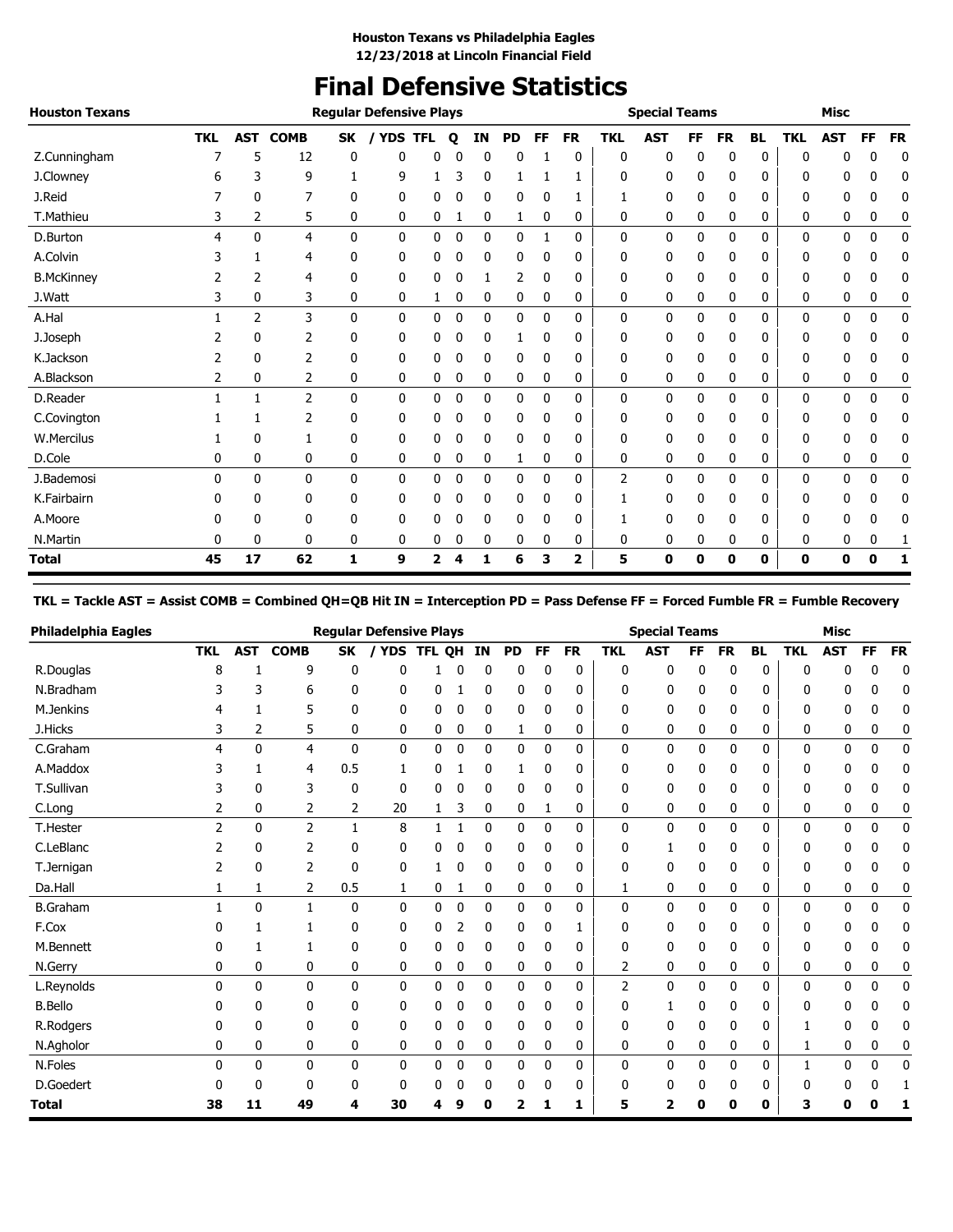# **Final Defensive Statistics**

| <b>Houston Texans</b> |            |              |                 |              | <b>Regular Defensive Plays</b> |            |              |              |           |              |                         |            | <b>Special Teams</b> |    |           |           |            | <b>Misc</b> |    |           |
|-----------------------|------------|--------------|-----------------|--------------|--------------------------------|------------|--------------|--------------|-----------|--------------|-------------------------|------------|----------------------|----|-----------|-----------|------------|-------------|----|-----------|
|                       | <b>TKL</b> |              | <b>AST COMB</b> | <b>SK</b>    | / YDS                          | <b>TFL</b> | $\mathbf{o}$ | ΙN           | <b>PD</b> | FF           | <b>FR</b>               | <b>TKL</b> | <b>AST</b>           | FF | <b>FR</b> | <b>BL</b> | <b>TKL</b> | <b>AST</b>  | FF | <b>FR</b> |
| Z.Cunningham          |            | 5            | 12              | 0            | 0                              | 0          | 0            | 0            | 0         |              | 0                       | 0          | 0                    | 0  | 0         | 0         | 0          | 0           | 0  | 0         |
| J.Clowney             |            | 3            | 9               |              | 9                              |            | 3            | 0            |           |              | 1                       | 0          | 0                    | 0  | 0         | 0         | 0          | 0           | 0  | 0         |
| J.Reid                |            | 0            | 7               | 0            | 0                              | 0          | 0            | 0            | 0         | $\mathbf{0}$ |                         |            | 0                    | 0  | 0         | 0         | 0          | 0           | 0  | 0         |
| T.Mathieu             | 3          | 2            | 5               | 0            | 0                              | 0          |              | 0            | 1         | 0            | 0                       | 0          | 0                    | 0  | 0         | 0         | 0          | 0           | 0  | 0         |
| D.Burton              | 4          | $\mathbf{0}$ | 4               | 0            | 0                              | 0          | 0            | 0            | 0         | 1            | 0                       | 0          | 0                    | 0  | 0         | 0         | 0          | 0           | 0  | 0         |
| A.Colvin              |            |              | 4               | 0            | 0                              | 0          | 0            | 0            | 0         | 0            | 0                       | 0          | 0                    | 0  | 0         | 0         | 0          | 0           | 0  | 0         |
| <b>B.McKinney</b>     |            | 2            | 4               | 0            | 0                              | 0          | 0            |              | 2         | 0            | 0                       | 0          | 0                    | 0  | 0         | 0         | 0          | 0           | 0  | 0         |
| J.Watt                | 3          | 0            | 3               | 0            | 0                              | 1          | 0            | 0            | 0         | 0            | 0                       | 0          | 0                    | 0  | 0         | 0         | 0          | 0           | 0  | 0         |
| A.Hal                 |            | 2            | 3               | $\mathbf{0}$ | 0                              | 0          | 0            | $\mathbf{0}$ | 0         | 0            | 0                       | 0          | 0                    | 0  | 0         | 0         | 0          | 0           | 0  | 0         |
| J.Joseph              |            | 0            | 2               | 0            | 0                              | 0          | 0            | 0            | 1         | $\mathbf{0}$ | 0                       | 0          | 0                    | 0  | 0         | 0         | 0          | 0           | 0  | 0         |
| K.Jackson             | 2          | 0            | 2               | 0            | 0                              | 0          | 0            | 0            | 0         | 0            | 0                       | 0          | 0                    | 0  | 0         | 0         | 0          | 0           | 0  | 0         |
| A.Blackson            | 2          | 0            | 2               | 0            | 0                              | 0          | 0            | 0            | 0         | 0            | 0                       | 0          | 0                    | 0  | 0         | 0         | 0          | 0           | 0  | 0         |
| D.Reader              |            |              | $\overline{2}$  | 0            | 0                              | 0          | 0            | 0            | 0         | 0            | 0                       | 0          | 0                    | 0  | 0         | 0         | 0          | 0           | 0  | 0         |
| C.Covington           |            |              | 2               | 0            | 0                              | 0          | 0            | 0            | 0         | 0            | 0                       | 0          | 0                    | 0  | 0         | 0         | 0          | 0           | 0  | 0         |
| W.Mercilus            |            | 0            |                 | 0            | 0                              | 0          | 0            | 0            | 0         | 0            | 0                       | 0          | 0                    | 0  | 0         | 0         | 0          | 0           | 0  | 0         |
| D.Cole                | 0          | 0            | 0               | 0            | 0                              | 0          | 0            | 0            | 1         | 0            | 0                       | 0          | 0                    | 0  | 0         | 0         | 0          | 0           | 0  | 0         |
| J.Bademosi            | $\Omega$   | $\mathbf{0}$ | 0               | $\mathbf{0}$ | 0                              | 0          | 0            | 0            | 0         | $\mathbf 0$  | 0                       | 2          | 0                    | 0  | 0         | 0         | 0          | 0           | 0  | 0         |
| K.Fairbairn           | 0          | 0            | 0               | 0            | 0                              | 0          | 0            | 0            | 0         | $\mathbf{0}$ | 0                       |            | 0                    | 0  | 0         | 0         | 0          | 0           | 0  | 0         |
| A.Moore               |            | 0            | 0               | 0            | 0                              | 0          |              | 0            | 0         | 0            | 0                       |            | 0                    | 0  | 0         | 0         | 0          | 0           | 0  | 0         |
| N.Martin              | 0          | 0            | 0               | 0            | 0                              | 0          | 0            | 0            | 0         | 0            | 0                       | 0          | 0                    | 0  | 0         | 0         | 0          | 0           | 0  |           |
| <b>Total</b>          | 45         | 17           | 62              | 1            | 9                              | 2          | 4            | 1            | 6         | 3            | $\overline{\mathbf{2}}$ | 5          | 0                    | 0  | 0         | 0         | 0          | 0           | 0  | 1         |

#### **TKL = Tackle AST = Assist COMB = Combined QH=QB Hit IN = Interception PD = Pass Defense FF = Forced Fumble FR = Fumble Recovery**

| <b>Philadelphia Eagles</b> |                |              |                |           | <b>Regular Defensive Plays</b> |        |             |              |           |              |              |              | <b>Special Teams</b> |           |              |              |            | <b>Misc</b> |              |             |
|----------------------------|----------------|--------------|----------------|-----------|--------------------------------|--------|-------------|--------------|-----------|--------------|--------------|--------------|----------------------|-----------|--------------|--------------|------------|-------------|--------------|-------------|
|                            | <b>TKL</b>     | <b>AST</b>   | <b>COMB</b>    | <b>SK</b> | / YDS                          | TFL QH |             | IN           | <b>PD</b> | FF           | <b>FR</b>    | <b>TKL</b>   | <b>AST</b>           | <b>FF</b> | <b>FR</b>    | <b>BL</b>    | <b>TKL</b> | <b>AST</b>  | FF           | <b>FR</b>   |
| R.Douglas                  | 8              |              | 9              | 0         | ŋ                              |        | n           | O            | 0         | 0            | 0            | $\mathbf 0$  | 0                    | 0         | 0            | 0            | 0          | n           | C            | 0           |
| N.Bradham                  | 3              | 3            | 6              | 0         | 0                              | 0      |             | 0            | 0         | 0            | 0            | 0            | 0                    | 0         | 0            | 0            | 0          | 0           | 0            | 0           |
| M.Jenkins                  |                |              | 5              | 0         | 0                              | 0      | 0           | 0            | 0         | 0            | 0            | 0            | 0                    | 0         | 0            | 0            | 0          | 0           | 0            | 0           |
| J.Hicks                    | 3              | 2            | 5              | 0         | 0                              | 0      | 0           | 0            | 1         | 0            | 0            | 0            | 0                    | 0         | 0            | 0            | 0          | 0           | 0            | 0           |
| C.Graham                   | 4              | 0            | $\overline{4}$ | 0         | 0                              | 0      | 0           | 0            | 0         | 0            | 0            | $\mathbf 0$  | 0                    | 0         | 0            | 0            | 0          | 0           | 0            | 0           |
| A.Maddox                   | 3              |              | 4              | 0.5       | 1                              | 0      |             | 0            | 1         | 0            | 0            | 0            | 0                    | 0         | 0            | 0            | 0          | 0           | 0            | 0           |
| T.Sullivan                 |                | 0            | 3              | 0         | 0                              | 0      | 0           | 0            | 0         | 0            | 0            | 0            | 0                    | 0         | 0            | 0            | 0          | 0           | 0            | 0           |
| C.Long                     | 2              | 0            | 2              | 2         | 20                             | 1      | 3           | 0            | 0         | 1            | 0            | 0            | 0                    | 0         | 0            | 0            | 0          | 0           | 0            | 0           |
| T.Hester                   | $\overline{2}$ | $\mathbf{0}$ | $\overline{2}$ | 1         | 8                              |        |             | 0            | 0         | 0            | 0            | $\mathbf{0}$ | 0                    | 0         | $\mathbf{0}$ | $\mathbf{0}$ | 0          | 0           | 0            | 0           |
| C.LeBlanc                  |                | 0            | 2              | 0         | 0                              | 0      | 0           | 0            | 0         | 0            | 0            | 0            |                      | 0         | 0            | 0            | 0          | 0           |              | 0           |
| T.Jernigan                 |                | 0            | 2              | 0         | 0                              |        | 0           | 0            | 0         | 0            | 0            | 0            | 0                    | 0         | 0            | 0            | N          | 0           | 0            |             |
| Da.Hall                    |                | 1            | 2              | 0.5       | 1                              | 0      | 1           | 0            | 0         | 0            | 0            | 1            | 0                    | 0         | 0            | 0            | 0          | 0           | 0            | 0           |
| <b>B.Graham</b>            |                | 0            | $\mathbf{1}$   | 0         | 0                              | 0      | $\mathbf 0$ | 0            | 0         | 0            | 0            | $\mathbf 0$  | 0                    | 0         | 0            | 0            | 0          | 0           | 0            | 0           |
| F.Cox                      | n              |              |                | 0         | 0                              | 0      | 2           | 0            | 0         | 0            |              | 0            | 0                    | 0         | 0            | 0            | 0          | 0           | n            | 0           |
| M.Bennett                  | O              |              |                | 0         | 0                              | 0      | 0           | 0            | 0         | 0            | 0            | 0            | 0                    | 0         | 0            | 0            | 0          | 0           | 0            | 0           |
| N.Gerry                    | 0              | 0            | 0              | 0         | 0                              | 0      | 0           | 0            | 0         | 0            | 0            | 2            | 0                    | 0         | 0            | 0            | 0          | 0           | 0            | 0           |
| L.Reynolds                 | 0              | $\mathbf{0}$ | $\mathbf{0}$   | 0         | $\mathbf{0}$                   | 0      | 0           | $\mathbf{0}$ | 0         | 0            | $\mathbf{0}$ | 2            | 0                    | 0         | $\Omega$     | $\mathbf{0}$ | 0          | 0           | $\mathbf{0}$ | $\mathbf 0$ |
| <b>B.Bello</b>             |                | 0            | 0              | 0         | 0                              | 0      | 0           | 0            | 0         | 0            | 0            | 0            |                      | 0         | 0            | 0            | 0          | O           |              | 0           |
| R.Rodgers                  | n              | 0            | $\Omega$       | 0         | 0                              | 0      | 0           | 0            | 0         | $\mathbf{0}$ | $\Omega$     | $\mathbf{0}$ | 0                    | 0         | $\mathbf{0}$ | 0            |            | 0           | 0            |             |
| N.Agholor                  | 0              | 0            | 0              | 0         | 0                              | 0      | 0           | 0            | 0         | 0            | 0            | 0            | 0                    | 0         | 0            | 0            | 1          | 0           | 0            |             |
| N.Foles                    | 0              | 0            | $\mathbf{0}$   | 0         | 0                              | 0      | $\mathbf 0$ | $\mathbf{0}$ | 0         | $\mathbf{0}$ | $\mathbf{0}$ | $\mathbf 0$  | 0                    | 0         | $\mathbf{0}$ | $\mathbf{0}$ | 1          | 0           | $\mathbf{0}$ | 0           |
| D.Goedert                  | O              | 0            | 0              | 0         | 0                              | U      | 0           | 0            | 0         | 0            | 0            | 0            | 0                    | 0         | 0            | 0            | 0          |             |              |             |
| <b>Total</b>               | 38             | 11           | 49             | 4         | 30                             | 4      | 9           | 0            | 2         |              | 1            | 5            | 2                    | Λ         | 0            | 0            | 3          | U           |              |             |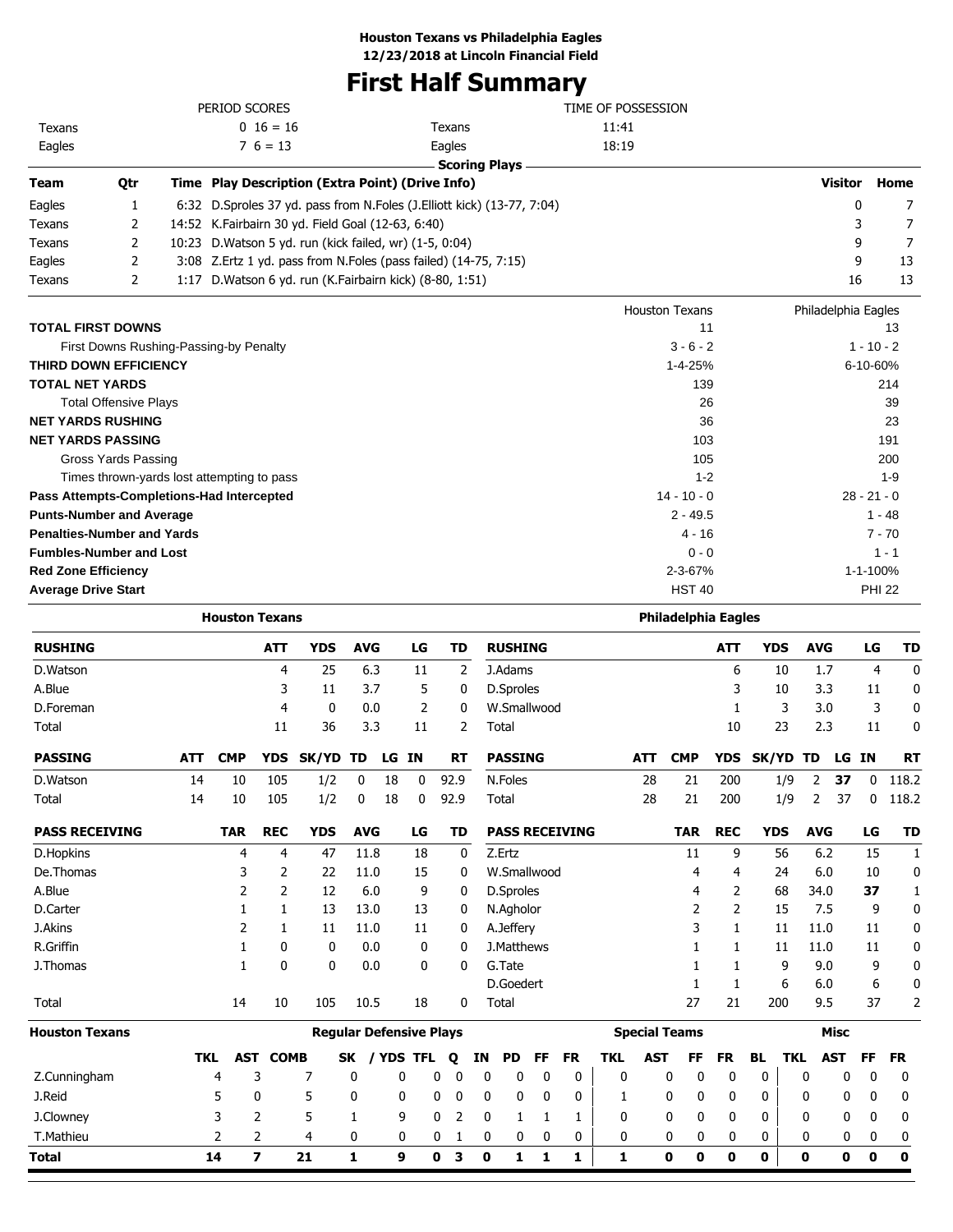# **First Half Summary**

|                                   |                              | PERIOD SCORES                                             |                                                                        | TIME OF POSSESSION         |                     |               |
|-----------------------------------|------------------------------|-----------------------------------------------------------|------------------------------------------------------------------------|----------------------------|---------------------|---------------|
| Texans                            |                              | $0 \t16 = 16$                                             | Texans                                                                 | 11:41                      |                     |               |
| Eagles                            |                              | $7\,6=13$                                                 | Eagles                                                                 | 18:19                      |                     |               |
|                                   |                              |                                                           | <b>Scoring Plays</b>                                                   |                            |                     |               |
| <b>Team</b>                       | <b>Otr</b>                   | Time Play Description (Extra Point) (Drive Info)          |                                                                        |                            | <b>Visitor</b>      | Home          |
| Eagles                            | 1                            |                                                           | 6:32 D.Sproles 37 yd. pass from N.Foles (J.Elliott kick) (13-77, 7:04) |                            | 0                   | 7             |
| Texans                            | 2                            | 14:52 K.Fairbairn 30 yd. Field Goal (12-63, 6:40)         |                                                                        |                            | 3                   | 7             |
| Texans                            | 2                            | 10:23 D. Watson 5 yd. run (kick failed, wr) (1-5, 0:04)   |                                                                        |                            | 9                   | 7             |
| Eagles                            | 2                            |                                                           | 3:08 Z. Ertz 1 yd. pass from N. Foles (pass failed) (14-75, 7:15)      |                            | 9                   | 13            |
| Texans                            | 2                            | 1:17 D. Watson 6 yd. run (K. Fairbairn kick) (8-80, 1:51) |                                                                        |                            | 16                  | 13            |
|                                   |                              |                                                           |                                                                        | <b>Houston Texans</b>      | Philadelphia Eagles |               |
| <b>TOTAL FIRST DOWNS</b>          |                              |                                                           |                                                                        | 11                         |                     | 13            |
|                                   |                              | First Downs Rushing-Passing-by Penalty                    |                                                                        | $3 - 6 - 2$                |                     | $1 - 10 - 2$  |
| <b>THIRD DOWN EFFICIENCY</b>      |                              |                                                           |                                                                        | $1 - 4 - 25%$              |                     | 6-10-60%      |
| <b>TOTAL NET YARDS</b>            |                              |                                                           |                                                                        | 139                        |                     | 214           |
|                                   | <b>Total Offensive Plays</b> |                                                           |                                                                        | 26                         |                     | 39            |
| <b>NET YARDS RUSHING</b>          |                              |                                                           |                                                                        | 36                         |                     | 23            |
| <b>NET YARDS PASSING</b>          |                              |                                                           |                                                                        | 103                        |                     | 191           |
|                                   | <b>Gross Yards Passing</b>   |                                                           |                                                                        | 105                        |                     | 200           |
|                                   |                              | Times thrown-yards lost attempting to pass                |                                                                        | $1 - 2$                    |                     | $1 - 9$       |
|                                   |                              | Pass Attempts-Completions-Had Intercepted                 |                                                                        | $14 - 10 - 0$              |                     | $28 - 21 - 0$ |
| <b>Punts-Number and Average</b>   |                              |                                                           |                                                                        | $2 - 49.5$                 |                     | $1 - 48$      |
| <b>Penalties-Number and Yards</b> |                              |                                                           |                                                                        | $4 - 16$                   |                     | $7 - 70$      |
| <b>Fumbles-Number and Lost</b>    |                              |                                                           |                                                                        | $0 - 0$                    |                     | $1 - 1$       |
| <b>Red Zone Efficiency</b>        |                              |                                                           |                                                                        | 2-3-67%                    |                     | 1-1-100%      |
| <b>Average Drive Start</b>        |                              |                                                           |                                                                        | <b>HST 40</b>              |                     | <b>PHI 22</b> |
|                                   |                              | <b>Houston Texans</b>                                     |                                                                        | <b>Philadelphia Eagles</b> |                     |               |

| <b>RUSHING</b>        |            |            | <b>ATT</b>              | <b>YDS</b>                     | <b>AVG</b>   |            | LG           |      | <b>TD</b> |             | <b>RUSHING</b>   |    |                       |              |            |                      | <b>ATT</b>   |           | <b>YDS</b> | <b>AVG</b>   |             | LG           | <b>TD</b>    |
|-----------------------|------------|------------|-------------------------|--------------------------------|--------------|------------|--------------|------|-----------|-------------|------------------|----|-----------------------|--------------|------------|----------------------|--------------|-----------|------------|--------------|-------------|--------------|--------------|
| D.Watson              |            |            | 4                       | 25                             | 6.3          |            | 11           |      | 2         |             | J.Adams          |    |                       |              |            |                      | 6            |           | 10         | 1.7          |             | 4            | $\mathbf 0$  |
| A.Blue                |            |            | 3                       | 11                             | 3.7          |            | 5            |      | 0         |             | <b>D.Sproles</b> |    |                       |              |            |                      | 3            |           | 10         | 3.3          |             | 11           | 0            |
| D.Foreman             |            |            | 4                       | $\mathbf 0$                    | 0.0          |            | 2            |      | 0         |             | W.Smallwood      |    |                       |              |            |                      | 1            |           | 3          | 3.0          |             | 3            | 0            |
| Total                 |            |            | 11                      | 36                             | 3.3          |            | 11           |      | 2         | Total       |                  |    |                       |              |            |                      | 10           |           | 23         | 2.3          |             | 11           | 0            |
| <b>PASSING</b>        | <b>ATT</b> | <b>CMP</b> | <b>YDS</b>              | SK/YD                          | TD           | LG IN      |              |      | <b>RT</b> |             | <b>PASSING</b>   |    |                       |              | <b>ATT</b> | <b>CMP</b>           | <b>YDS</b>   |           |            | SK/YD TD     | LG IN       |              | <b>RT</b>    |
| D.Watson              | 14         | 10         | 105                     | 1/2                            | $\mathbf{0}$ | 18         | $\mathbf{0}$ | 92.9 |           |             | N.Foles          |    |                       |              | 28         | 21                   | 200          |           | 1/9        | 2            | 37          | $\mathbf{0}$ | 118.2        |
| Total                 | 14         | 10         | 105                     | 1/2                            | 0            | 18         | $\mathbf{0}$ | 92.9 |           | Total       |                  |    |                       |              | 28         | 21                   | 200          |           | 1/9        | 2            | 37          | 0            | 118.2        |
| <b>PASS RECEIVING</b> |            | <b>TAR</b> | <b>REC</b>              | <b>YDS</b>                     | <b>AVG</b>   |            | LG           |      | TD        |             |                  |    | <b>PASS RECEIVING</b> |              |            | <b>TAR</b>           | <b>REC</b>   |           | <b>YDS</b> | <b>AVG</b>   |             | LG           | <b>TD</b>    |
| D.Hopkins             |            | 4          | 4                       | 47                             | 11.8         |            | 18           |      | 0         | Z.Ertz      |                  |    |                       |              |            | 11                   | 9            |           | 56         | 6.2          |             | 15           | 1            |
| De.Thomas             |            | 3          | $\overline{2}$          | 22                             | 11.0         |            | 15           |      | 0         |             | W.Smallwood      |    |                       |              |            | 4                    | 4            |           | 24         | 6.0          |             | 10           | 0            |
| A.Blue                |            | 2          | 2                       | 12                             | 6.0          |            | 9            |      | 0         |             | D.Sproles        |    |                       |              |            | 4                    | 2            |           | 68         | 34.0         |             | 37           | $\mathbf{1}$ |
| D.Carter              |            |            | 1                       | 13                             | 13.0         |            | 13           |      | 0         |             | N.Agholor        |    |                       |              |            | 2                    | 2            |           | 15         | 7.5          |             | 9            | 0            |
| J.Akins               |            | 2          | 1                       | 11                             | 11.0         |            | 11           |      | 0         |             | A.Jeffery        |    |                       |              |            | 3                    | 1            |           | 11         | 11.0         |             | 11           | 0            |
| R.Griffin             |            | 1          | 0                       | 0                              | 0.0          |            | 0            |      | 0         |             | J.Matthews       |    |                       |              |            | 1                    | 1            |           | 11         | 11.0         |             | 11           | 0            |
| J. Thomas             |            | 1          | $\mathbf{0}$            | $\mathbf{0}$                   | 0.0          |            | 0            |      | 0         |             | G.Tate           |    |                       |              |            | 1                    | 1            |           | 9          | 9.0          |             | 9            | 0            |
|                       |            |            |                         |                                |              |            |              |      |           |             | D.Goedert        |    |                       |              |            | $\mathbf{1}$         | 1            |           | 6          | 6.0          |             | 6            | 0            |
| Total                 |            | 14         | 10                      | 105                            | 10.5         |            | 18           |      | 0         | Total       |                  |    |                       |              |            | 27                   | 21           |           | 200        | 9.5          |             | 37           | 2            |
| <b>Houston Texans</b> |            |            |                         | <b>Regular Defensive Plays</b> |              |            |              |      |           |             |                  |    |                       |              |            | <b>Special Teams</b> |              |           |            |              | <b>Misc</b> |              |              |
|                       | <b>TKL</b> | AST        | <b>COMB</b>             |                                | <b>SK</b>    | <b>YDS</b> | <b>TFL</b>   | Q    | ΙN        |             | <b>PD</b>        | FF | <b>FR</b>             | <b>TKL</b>   | <b>AST</b> | FF                   | <b>FR</b>    | <b>BL</b> | <b>TKL</b> |              | <b>AST</b>  | FF           | <b>FR</b>    |
| Z.Cunningham          |            | 4          | 3                       | 7                              | 0            | 0          |              | 0    | 0         | 0           | 0                | 0  | 0                     | 0            |            | 0<br>0               | 0            | 0         |            | 0            | 0           | 0            | 0            |
| J.Reid                |            | 5          | 0                       | 5                              | 0            | 0          |              | 0    | 0         | $\mathbf 0$ | 0                | 0  | 0                     | 1            |            | 0<br>0               | 0            | 0         |            | 0            | 0           | 0            | 0            |
| J.Clowney             |            | 3          | 2                       | 5                              | 1            |            | 9            | 0    | 2         | $\mathbf 0$ | 1                | 1  | 1                     | $\mathbf{0}$ |            | 0<br>0               | $\mathbf{0}$ | 0         |            | 0            | 0           | 0            | 0            |
| T.Mathieu             |            | 2          | 2                       | 4                              | 0            |            | 0            | 0    |           | 0           | 0                | 0  | 0                     | $\mathbf 0$  |            | 0<br>0               | 0            | 0         |            | $\mathbf{0}$ | 0           | 0            | 0            |
| <b>Total</b>          |            | 14         | $\overline{\mathbf{z}}$ | 21                             | 1            | 9          |              | 0    | з         | 0           | 1                | 1  | 1                     | 1            |            | $\bf{0}$<br>0        | 0            | 0         |            | 0            | 0           | 0            | 0            |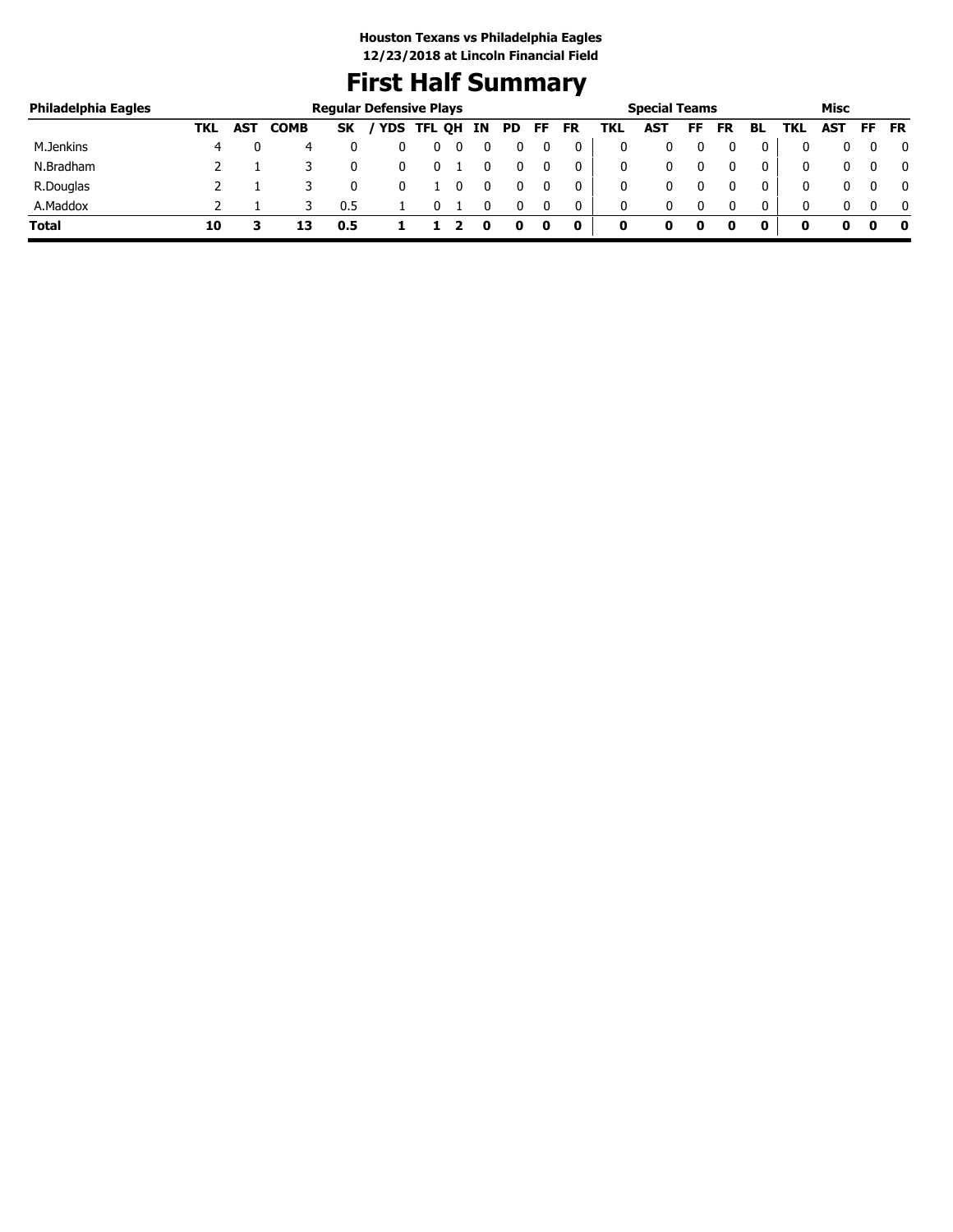# **First Half Summary**

| Philadelphia Eagles |     |            |             |           | <b>Regular Defensive Plays</b> |             |    |     |     |           |     | <b>Special Teams</b> |    |           |              |     | Misc |     |              |
|---------------------|-----|------------|-------------|-----------|--------------------------------|-------------|----|-----|-----|-----------|-----|----------------------|----|-----------|--------------|-----|------|-----|--------------|
|                     | TKL | <b>AST</b> | <b>COMB</b> | <b>SK</b> |                                | 'YDS TFL QH | IN | PD. | FF. | <b>FR</b> | TKL | AST                  | FF | <b>FR</b> | BL           | TKL | AST  | FF. | <b>FR</b>    |
| M.Jenkins           |     |            | 4           |           |                                |             |    |     |     |           |     |                      |    |           |              |     |      |     | 0            |
| N.Bradham           |     |            |             |           |                                |             |    |     |     | 0         | 0   | 0                    |    |           | $\mathbf{0}$ |     |      |     | $\mathbf{0}$ |
| R.Douglas           |     |            |             |           |                                |             |    |     |     | 0         |     | 0                    |    |           | 0            | 0   |      |     | $\mathbf{0}$ |
| A.Maddox            |     |            |             | 0.5       |                                |             |    |     |     | 0         | 0   | 0                    |    |           | $\mathbf{0}$ | 0   | 0    |     | 0            |
| <b>Total</b>        | 10  |            | 13          | 0.5       |                                |             |    |     | 0   | 0         | 0   |                      | 0  |           | 0            | 0   | o    |     | - 0          |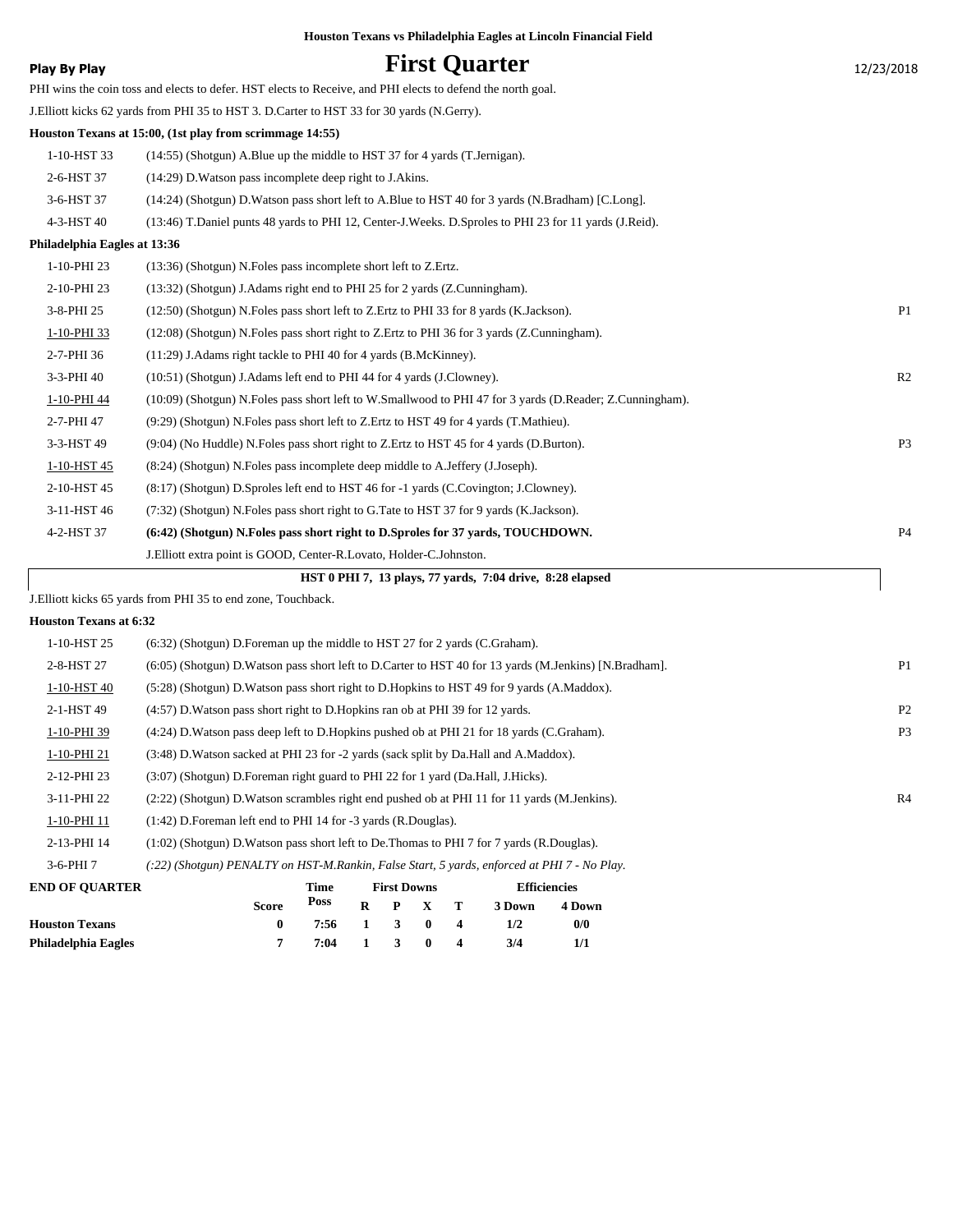|                              | Houston Texans vs Philadelphia Eagles at Lincoln Financial Field                                            |                |
|------------------------------|-------------------------------------------------------------------------------------------------------------|----------------|
| Play By Play                 | <b>First Quarter</b>                                                                                        | 12/23/2018     |
|                              | PHI wins the coin toss and elects to defer. HST elects to Receive, and PHI elects to defend the north goal. |                |
|                              | J. Elliott kicks 62 yards from PHI 35 to HST 3. D. Carter to HST 33 for 30 yards (N. Gerry).                |                |
|                              | Houston Texans at 15:00, (1st play from scrimmage 14:55)                                                    |                |
| 1-10-HST 33                  | (14:55) (Shotgun) A.Blue up the middle to HST 37 for 4 yards (T.Jernigan).                                  |                |
| 2-6-HST 37                   | (14:29) D. Watson pass incomplete deep right to J. Akins.                                                   |                |
| 3-6-HST 37                   | (14:24) (Shotgun) D. Watson pass short left to A. Blue to HST 40 for 3 yards (N. Bradham) [C. Long].        |                |
| 4-3-HST 40                   | (13:46) T.Daniel punts 48 yards to PHI 12, Center-J.Weeks. D.Sproles to PHI 23 for 11 yards (J.Reid).       |                |
| Philadelphia Eagles at 13:36 |                                                                                                             |                |
| 1-10-PHI 23                  | (13:36) (Shotgun) N.Foles pass incomplete short left to Z.Ertz.                                             |                |
| 2-10-PHI 23                  | (13:32) (Shotgun) J. Adams right end to PHI 25 for 2 yards (Z. Cunningham).                                 |                |
| 3-8-PHI 25                   | (12:50) (Shotgun) N.Foles pass short left to Z.Ertz to PHI 33 for 8 yards (K.Jackson).                      | P <sub>1</sub> |
| 1-10-PHI 33                  | (12:08) (Shotgun) N. Foles pass short right to Z. Ertz to PHI 36 for 3 yards (Z. Cunningham).               |                |
| 2-7-PHI 36                   | (11:29) J. Adams right tackle to PHI 40 for 4 yards (B. McKinney).                                          |                |
| 3-3-PHI 40                   | (10:51) (Shotgun) J.Adams left end to PHI 44 for 4 yards (J.Clowney).                                       | R <sub>2</sub> |
| 1-10-PHI 44                  | (10:09) (Shotgun) N.Foles pass short left to W.Smallwood to PHI 47 for 3 yards (D.Reader; Z.Cunningham).    |                |
| 2-7-PHI 47                   | (9:29) (Shotgun) N. Foles pass short left to Z. Ertz to HST 49 for 4 yards (T. Mathieu).                    |                |
| 3-3-HST 49                   | (9:04) (No Huddle) N. Foles pass short right to Z. Ertz to HST 45 for 4 yards (D. Burton).                  | P <sub>3</sub> |
| 1-10-HST 45                  | (8:24) (Shotgun) N.Foles pass incomplete deep middle to A.Jeffery (J.Joseph).                               |                |
| 2-10-HST 45                  | (8:17) (Shotgun) D.Sproles left end to HST 46 for -1 yards (C.Covington; J.Clowney).                        |                |
| 3-11-HST 46                  | (7:32) (Shotgun) N. Foles pass short right to G. Tate to HST 37 for 9 yards (K. Jackson).                   |                |
| 4-2-HST 37                   | (6:42) (Shotgun) N.Foles pass short right to D.Sproles for 37 yards, TOUCHDOWN.                             | <b>P4</b>      |
|                              | J. Elliott extra point is GOOD, Center-R. Lovato, Holder-C. Johnston.                                       |                |
|                              | HST 0 PHI 7, 13 plays, 77 yards, 7:04 drive, 8:28 elapsed                                                   |                |
|                              | J.Elliott kicks 65 yards from PHI 35 to end zone, Touchback.                                                |                |

#### **Houston Texans at 6:32**

| <b>END OF OUARTER</b> | <b>Efficiencies</b><br><b>First Downs</b><br>Time<br><b>Docc</b><br>$\sim$<br>_____<br>- -                  |                |
|-----------------------|-------------------------------------------------------------------------------------------------------------|----------------|
| $3-6$ -PHI $7$        | (:22) (Shotgun) PENALTY on HST-M.Rankin, False Start, 5 yards, enforced at PHI 7 - No Play.                 |                |
| 2-13-PHI 14           | $(1:02)$ (Shotgun) D. Watson pass short left to De. Thomas to PHI 7 for 7 yards (R. Douglas).               |                |
| 1-10-PHI 11           | (1:42) D. Foreman left end to PHI 14 for -3 yards (R. Douglas).                                             |                |
| 3-11-PHI 22           | (2.22) (Shotgun) D. Watson scrambles right end pushed ob at PHI 11 for 11 yards (M. Jenkins).               | R <sub>4</sub> |
| 2-12-PHI 23           | (3:07) (Shotgun) D. Foreman right guard to PHI 22 for 1 yard (Da. Hall, J. Hicks).                          |                |
| 1-10-PHI 21           | (3:48) D. Watson sacked at PHI 23 for -2 yards (sack split by Da. Hall and A. Maddox).                      |                |
| 1-10-PHI 39           | (4:24) D. Watson pass deep left to D. Hopkins pushed ob at PHI 21 for 18 yards (C. Graham).                 | P <sub>3</sub> |
| 2-1-HST 49            | (4:57) D. Watson pass short right to D. Hopkins ran ob at PHI 39 for 12 yards.                              | P <sub>2</sub> |
| 1-10-HST 40           | (5:28) (Shotgun) D. Watson pass short right to D. Hopkins to HST 49 for 9 yards (A. Maddox).                |                |
| 2-8-HST 27            | $(6:05)$ (Shotgun) D. Watson pass short left to D. Carter to HST 40 for 13 yards (M. Jenkins) [N. Bradham]. | P <sub>1</sub> |
| 1-10-HST 25           | (6:32) (Shotgun) D. Foreman up the middle to HST 27 for 2 yards (C. Graham).                                |                |

| екрот осимпей         |              | .                    | 1100 DOMIN |  | Linuville |               |  |  |
|-----------------------|--------------|----------------------|------------|--|-----------|---------------|--|--|
|                       | <b>Score</b> | Poss $R$ $P$ $X$ $T$ |            |  | 3 Down    | <b>4 Down</b> |  |  |
| <b>Houston Texans</b> |              | 7:56 1 3 0 4         |            |  | 1/2       | 0/0           |  |  |
| Philadelphia Eagles   |              | 7:04 1 3 0 4         |            |  | 3/4       | 1/1           |  |  |
|                       |              |                      |            |  |           |               |  |  |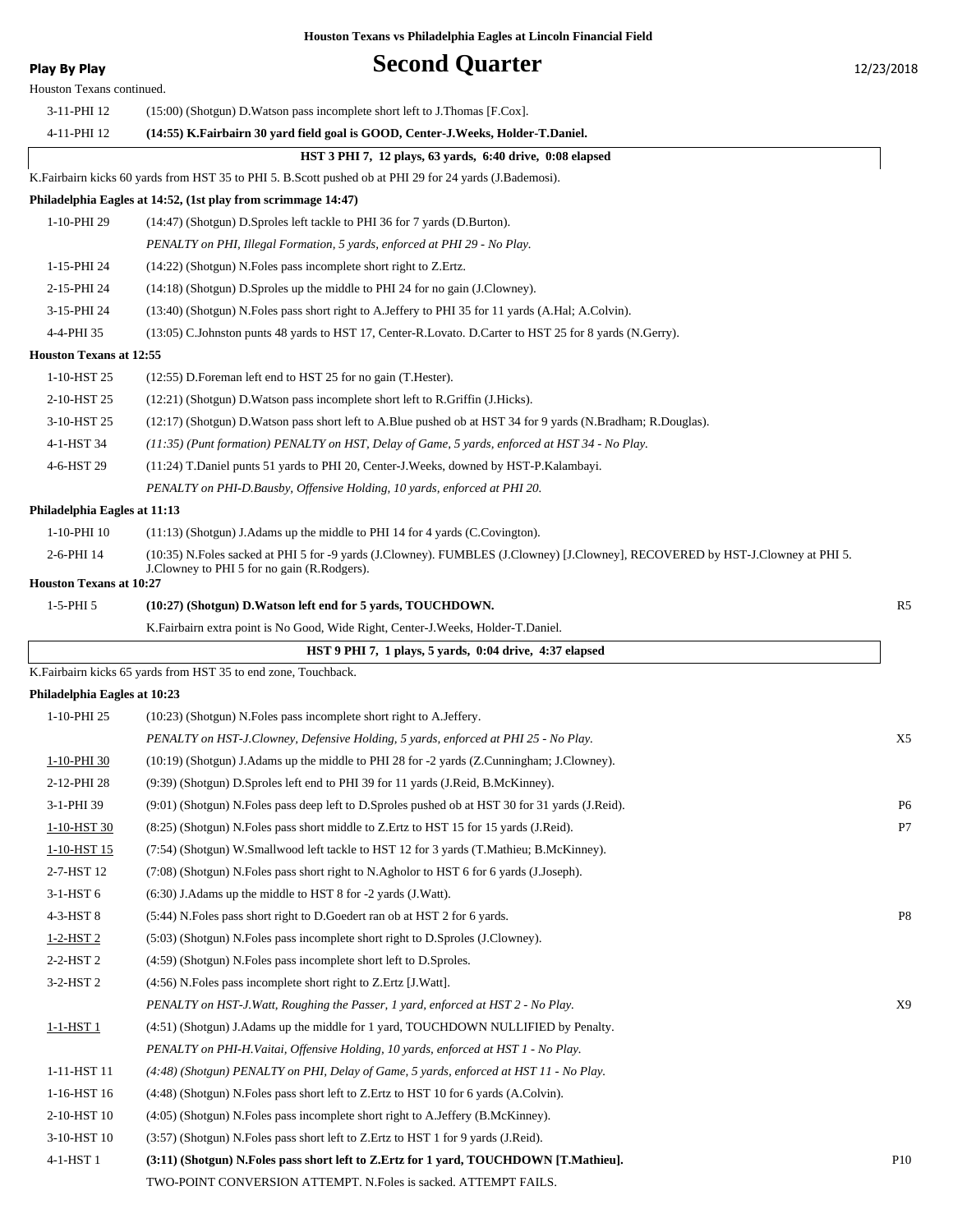**Play By Play Play Play Second Quarter** 12/23/2018

| Houston Texans continued.      |                                                                                                                                                                                |           |
|--------------------------------|--------------------------------------------------------------------------------------------------------------------------------------------------------------------------------|-----------|
| 3-11-PHI 12                    | $(15:00)$ (Shotgun) D. Watson pass incomplete short left to J. Thomas [F.Cox].                                                                                                 |           |
| 4-11-PHI 12                    | (14:55) K.Fairbairn 30 yard field goal is GOOD, Center-J.Weeks, Holder-T.Daniel.                                                                                               |           |
|                                | HST 3 PHI 7, 12 plays, 63 yards, 6:40 drive, 0:08 elapsed                                                                                                                      |           |
|                                | K. Fairbairn kicks 60 yards from HST 35 to PHI 5. B. Scott pushed ob at PHI 29 for 24 yards (J. Bademosi).                                                                     |           |
|                                | Philadelphia Eagles at 14:52, (1st play from scrimmage 14:47)                                                                                                                  |           |
| 1-10-PHI 29                    | (14:47) (Shotgun) D.Sproles left tackle to PHI 36 for 7 yards (D.Burton).                                                                                                      |           |
|                                | PENALTY on PHI, Illegal Formation, 5 yards, enforced at PHI 29 - No Play.                                                                                                      |           |
| 1-15-PHI 24                    | (14:22) (Shotgun) N.Foles pass incomplete short right to Z.Ertz.                                                                                                               |           |
| 2-15-PHI 24                    | (14:18) (Shotgun) D.Sproles up the middle to PHI 24 for no gain (J.Clowney).                                                                                                   |           |
| 3-15-PHI 24                    | (13:40) (Shotgun) N.Foles pass short right to A.Jeffery to PHI 35 for 11 yards (A.Hal; A.Colvin).                                                                              |           |
| 4-4-PHI 35                     | (13:05) C.Johnston punts 48 yards to HST 17, Center-R.Lovato. D.Carter to HST 25 for 8 yards (N.Gerry).                                                                        |           |
| <b>Houston Texans at 12:55</b> |                                                                                                                                                                                |           |
| 1-10-HST 25                    | (12:55) D. Foreman left end to HST 25 for no gain (T. Hester).                                                                                                                 |           |
| 2-10-HST 25                    | (12:21) (Shotgun) D. Watson pass incomplete short left to R. Griffin (J. Hicks).                                                                                               |           |
| 3-10-HST 25                    | (12:17) (Shotgun) D.Watson pass short left to A.Blue pushed ob at HST 34 for 9 yards (N.Bradham; R.Douglas).                                                                   |           |
| 4-1-HST 34                     | (11:35) (Punt formation) PENALTY on HST, Delay of Game, 5 yards, enforced at HST 34 - No Play.                                                                                 |           |
| 4-6-HST 29                     | (11:24) T.Daniel punts 51 yards to PHI 20, Center-J.Weeks, downed by HST-P.Kalambayi.                                                                                          |           |
|                                | PENALTY on PHI-D.Bausby, Offensive Holding, 10 yards, enforced at PHI 20.                                                                                                      |           |
| Philadelphia Eagles at 11:13   |                                                                                                                                                                                |           |
| 1-10-PHI 10                    | (11:13) (Shotgun) J.Adams up the middle to PHI 14 for 4 yards (C.Covington).                                                                                                   |           |
| 2-6-PHI 14                     | (10:35) N.Foles sacked at PHI 5 for -9 yards (J.Clowney). FUMBLES (J.Clowney) [J.Clowney], RECOVERED by HST-J.Clowney at PHI 5.<br>J.Clowney to PHI 5 for no gain (R.Rodgers). |           |
| <b>Houston Texans at 10:27</b> |                                                                                                                                                                                | R5        |
| $1-5-PHI5$                     | (10:27) (Shotgun) D.Watson left end for 5 yards, TOUCHDOWN.                                                                                                                    |           |
|                                | K. Fairbairn extra point is No Good, Wide Right, Center-J. Weeks, Holder-T. Daniel.                                                                                            |           |
|                                | HST 9 PHI 7, 1 plays, 5 yards, 0:04 drive, 4:37 elapsed<br>K. Fairbairn kicks 65 yards from HST 35 to end zone, Touchback.                                                     |           |
| Philadelphia Eagles at 10:23   |                                                                                                                                                                                |           |
| 1-10-PHI 25                    | (10:23) (Shotgun) N. Foles pass incomplete short right to A. Jeffery.                                                                                                          |           |
|                                | PENALTY on HST-J.Clowney, Defensive Holding, 5 yards, enforced at PHI 25 - No Play.                                                                                            | X5        |
| 1-10-PHI 30                    | (10:19) (Shotgun) J. Adams up the middle to PHI 28 for -2 yards (Z. Cunningham; J. Clowney).                                                                                   |           |
| 2-12-PHI 28                    | (9:39) (Shotgun) D.Sproles left end to PHI 39 for 11 yards (J.Reid, B.McKinney).                                                                                               |           |
| 3-1-PHI 39                     | (9:01) (Shotgun) N.Foles pass deep left to D.Sproles pushed ob at HST 30 for 31 yards (J.Reid).                                                                                | <b>P6</b> |
| 1-10-HST 30                    | (8:25) (Shotgun) N. Foles pass short middle to Z. Ertz to HST 15 for 15 yards (J. Reid).                                                                                       | P7        |
| 1-10-HST 15                    | (7:54) (Shotgun) W.Smallwood left tackle to HST 12 for 3 yards (T.Mathieu; B.McKinney).                                                                                        |           |
| 2-7-HST 12                     | (7:08) (Shotgun) N. Foles pass short right to N. Agholor to HST 6 for 6 yards (J. Joseph).                                                                                     |           |
| 3-1-HST 6                      | $(6:30)$ J. Adams up the middle to HST 8 for $-2$ yards (J. Watt).                                                                                                             |           |
| 4-3-HST 8                      | (5:44) N. Foles pass short right to D. Goedert ran ob at HST 2 for 6 yards.                                                                                                    | P8        |
| $1-2-HST2$                     | $(5:03)$ (Shotgun) N. Foles pass incomplete short right to D. Sproles (J. Clowney).                                                                                            |           |
| 2-2-HST 2                      | (4:59) (Shotgun) N. Foles pass incomplete short left to D. Sproles.                                                                                                            |           |
| 3-2-HST 2                      | (4:56) N. Foles pass incomplete short right to Z. Ertz [J. Watt].                                                                                                              |           |
|                                | PENALTY on HST-J.Watt, Roughing the Passer, 1 yard, enforced at HST 2 - No Play.                                                                                               | X9        |
| $1-1-HST$ $1$                  | (4:51) (Shotgun) J.Adams up the middle for 1 yard, TOUCHDOWN NULLIFIED by Penalty.                                                                                             |           |
|                                | PENALTY on PHI-H.Vaitai, Offensive Holding, 10 yards, enforced at HST 1 - No Play.                                                                                             |           |
| 1-11-HST 11                    | (4:48) (Shotgun) PENALTY on PHI, Delay of Game, 5 yards, enforced at HST 11 - No Play.                                                                                         |           |
| 1-16-HST 16                    | (4:48) (Shotgun) N. Foles pass short left to Z. Ertz to HST 10 for 6 yards (A. Colvin).                                                                                        |           |
| 2-10-HST 10                    | (4:05) (Shotgun) N.Foles pass incomplete short right to A.Jeffery (B.McKinney).                                                                                                |           |
| 3-10-HST 10                    | (3:57) (Shotgun) N.Foles pass short left to Z.Ertz to HST 1 for 9 yards (J.Reid).                                                                                              |           |
| 4-1-HST 1                      | (3:11) (Shotgun) N.Foles pass short left to Z.Ertz for 1 yard, TOUCHDOWN [T.Mathieu].                                                                                          | P10       |

TWO-POINT CONVERSION ATTEMPT. N.Foles is sacked. ATTEMPT FAILS.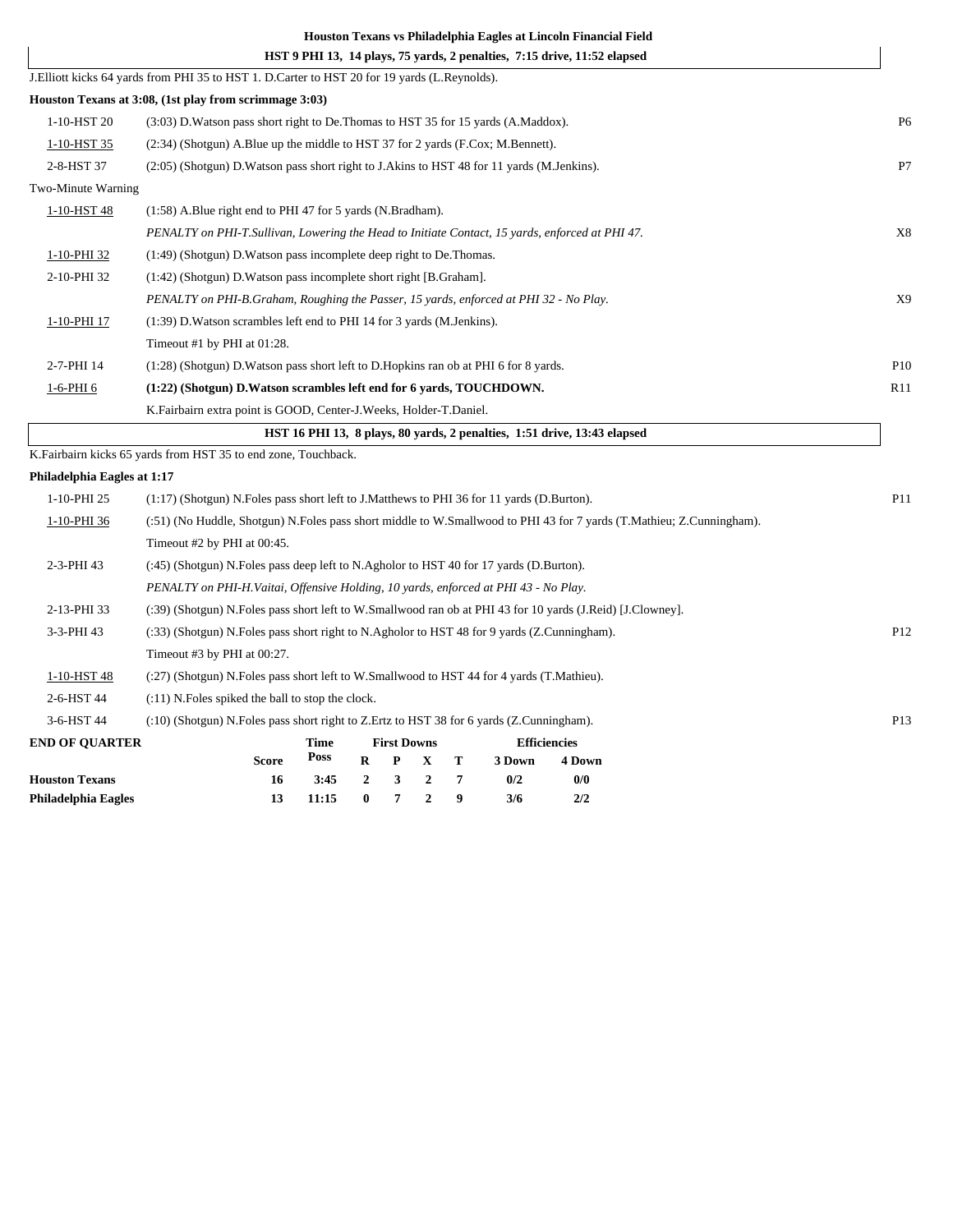|                             | Houston Texans vs Philadelphia Eagles at Lincoln Financial Field                                                     |                |
|-----------------------------|----------------------------------------------------------------------------------------------------------------------|----------------|
|                             | HST 9 PHI 13, 14 plays, 75 vards, 2 penalties, 7:15 drive, 11:52 elapsed                                             |                |
|                             | J.Elliott kicks 64 yards from PHI 35 to HST 1. D.Carter to HST 20 for 19 yards (L.Reynolds).                         |                |
|                             | Houston Texans at 3:08, (1st play from scrimmage 3:03)                                                               |                |
| 1-10-HST 20                 | (3:03) D. Watson pass short right to De. Thomas to HST 35 for 15 yards (A. Maddox).                                  | P <sub>6</sub> |
| 1-10-HST 35                 | $(2:34)$ (Shotgun) A.Blue up the middle to HST 37 for 2 yards (F.Cox; M.Bennett).                                    |                |
| 2-8-HST 37                  | (2:05) (Shotgun) D. Watson pass short right to J. Akins to HST 48 for 11 yards (M. Jenkins).                         | P7             |
| Two-Minute Warning          |                                                                                                                      |                |
| 1-10-HST 48                 | (1:58) A.Blue right end to PHI 47 for 5 yards (N.Bradham).                                                           |                |
|                             | PENALTY on PHI-T.Sullivan, Lowering the Head to Initiate Contact, 15 yards, enforced at PHI 47.                      | X8             |
| 1-10-PHI 32                 | (1:49) (Shotgun) D. Watson pass incomplete deep right to De. Thomas.                                                 |                |
| 2-10-PHI 32                 | (1:42) (Shotgun) D. Watson pass incomplete short right [B. Graham].                                                  |                |
|                             | PENALTY on PHI-B.Graham, Roughing the Passer, 15 yards, enforced at PHI 32 - No Play.                                | X9             |
| 1-10-PHI 17                 | (1:39) D. Watson scrambles left end to PHI 14 for 3 yards (M. Jenkins).                                              |                |
|                             | Timeout #1 by PHI at 01:28.                                                                                          |                |
| 2-7-PHI 14                  | (1:28) (Shotgun) D. Watson pass short left to D. Hopkins ran ob at PHI 6 for 8 yards.                                | P10            |
| 1-6-PHI 6                   | (1:22) (Shotgun) D. Watson scrambles left end for 6 yards, TOUCHDOWN.                                                | R11            |
|                             | K.Fairbairn extra point is GOOD, Center-J.Weeks, Holder-T.Daniel.                                                    |                |
|                             | HST 16 PHI 13, 8 plays, 80 vards, 2 penalties, 1:51 drive, 13:43 elapsed                                             |                |
|                             | K.Fairbairn kicks 65 yards from HST 35 to end zone, Touchback.                                                       |                |
| Philadelphia Eagles at 1:17 |                                                                                                                      |                |
| 1-10-PHI 25                 | $(1:17)$ (Shotgun) N. Foles pass short left to J. Matthews to PHI 36 for 11 yards (D. Burton).                       | P11            |
| 1-10-PHI 36                 | (:51) (No Huddle, Shotgun) N.Foles pass short middle to W.Smallwood to PHI 43 for 7 yards (T.Mathieu; Z.Cunningham). |                |
|                             | Timeout #2 by PHI at 00:45.                                                                                          |                |
| 2-3-PHI 43                  | (:45) (Shotgun) N. Foles pass deep left to N. Agholor to HST 40 for 17 yards (D. Burton).                            |                |
|                             | PENALTY on PHI-H.Vaitai, Offensive Holding, 10 yards, enforced at PHI 43 - No Play.                                  |                |
|                             |                                                                                                                      |                |

2-13-PHI 33 (:39) (Shotgun) N.Foles pass short left to W.Smallwood ran ob at PHI 43 for 10 yards (J.Reid) [J.Clowney]. 3-3-PHI 43 (:33) (Shotgun) N.Foles pass short right to N.Agholor to HST 48 for 9 yards (Z.Cunningham). P12 Timeout #3 by PHI at 00:27. 1-10-HST 48 (:27) (Shotgun) N.Foles pass short left to W.Smallwood to HST 44 for 4 yards (T.Mathieu). 2-6-HST 44 (:11) N.Foles spiked the ball to stop the clock. 3-6-HST 44 (:10) (Shotgun) N.Foles pass short right to Z.Ertz to HST 38 for 6 yards (Z.Cunningham). P13 **END OF QUARTER Time First Downs Efficienci** 

| <b>END OF QUARTER</b> |              | тине.          | FIFSU DOWNS |                             | <b>EINCICRUS</b> |        |  |
|-----------------------|--------------|----------------|-------------|-----------------------------|------------------|--------|--|
|                       | <b>Score</b> | Poss           |             | $R$ $P$ $X$ $T$             | 3 Down           | 4 Down |  |
| <b>Houston Texans</b> | 16.          | $3:45$ 2 3 2 7 |             |                             | 0/2              | 0/0    |  |
| Philadelphia Eagles   |              | 11:15          |             | $0 \quad 7 \quad 2 \quad 9$ | 3/6              | 2/2    |  |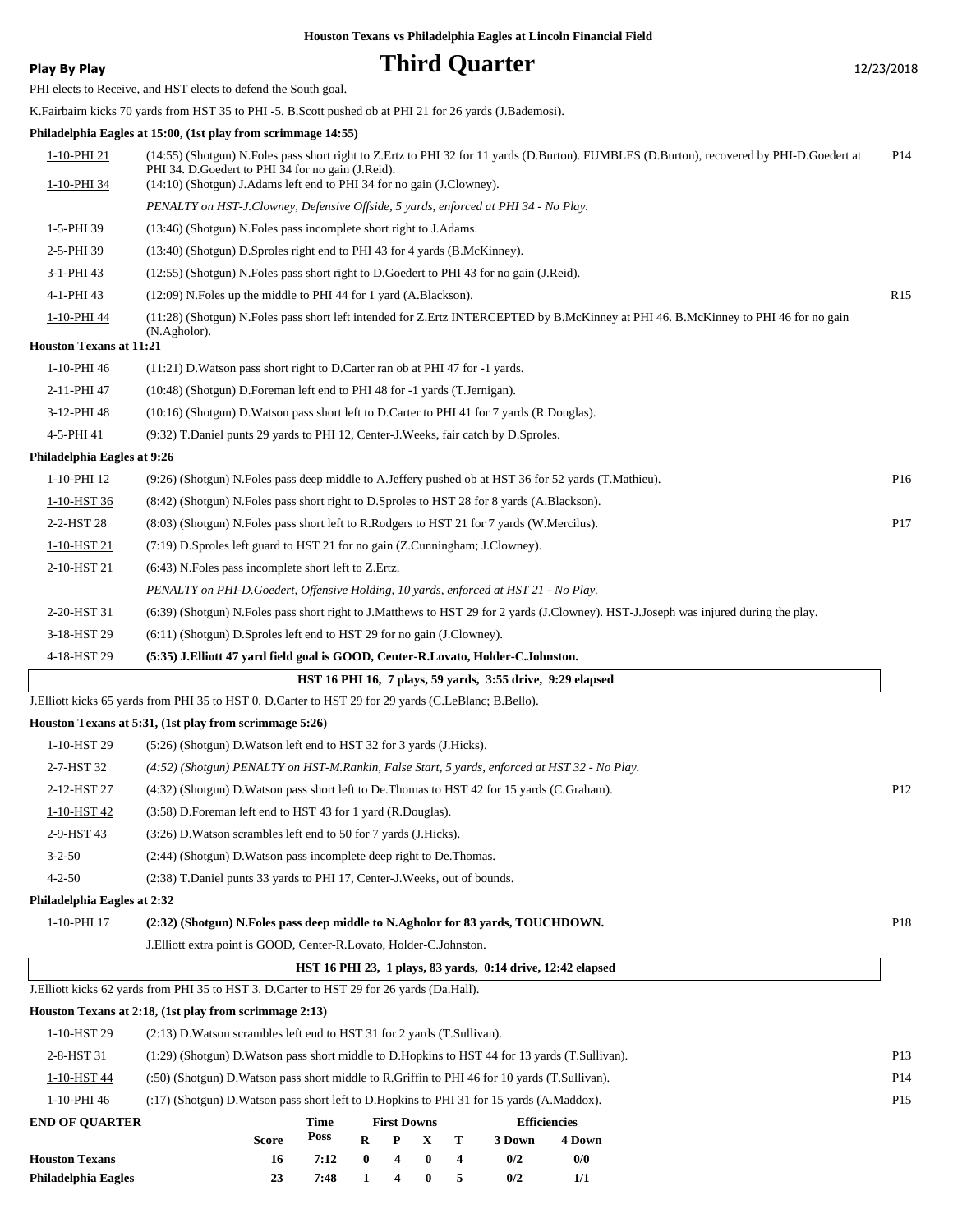**Play By Play Play Play Play Play By Play Play By Play Play By Play Play Play Play Play Play Play Play Play Play Play Play Play Play Play Play Play Play Play Play Play**

PHI elects to Receive, and HST elects to defend the South goal.

K.Fairbairn kicks 70 yards from HST 35 to PHI -5. B.Scott pushed ob at PHI 21 for 26 yards (J.Bademosi).

# **Philadelphia Eagles at 15:00, (1st play from scrimmage 14:55)**

| Philadelphia Eagles            | 23<br>7:48<br>4<br>$\bf{0}$<br>5<br>0/2<br>1/1<br>1                                                                                                                                              |                 |
|--------------------------------|--------------------------------------------------------------------------------------------------------------------------------------------------------------------------------------------------|-----------------|
| <b>Houston Texans</b>          | P<br>T<br>R<br>X<br>3 Down<br>4 Down<br>Score<br>7:12<br>$\bf{0}$<br>4<br>$\bf{0}$<br>4<br>0/2<br>0/0<br>16                                                                                      |                 |
| <b>END OF QUARTER</b>          | <b>First Downs</b><br><b>Efficiencies</b><br>Time<br>Poss                                                                                                                                        |                 |
| 1-10-PHI 46                    | (:17) (Shotgun) D. Watson pass short left to D. Hopkins to PHI 31 for 15 yards (A. Maddox).                                                                                                      | P15             |
| 1-10-HST 44                    | (.50) (Shotgun) D. Watson pass short middle to R. Griffin to PHI 46 for 10 yards (T. Sullivan).                                                                                                  | P <sub>14</sub> |
| 2-8-HST 31                     | (1:29) (Shotgun) D. Watson pass short middle to D. Hopkins to HST 44 for 13 yards (T. Sullivan).                                                                                                 | P <sub>13</sub> |
| 1-10-HST 29                    | (2:13) D. Watson scrambles left end to HST 31 for 2 yards (T. Sullivan).                                                                                                                         |                 |
|                                | Houston Texans at 2:18, (1st play from scrimmage 2:13)                                                                                                                                           |                 |
|                                | J. Elliott kicks 62 yards from PHI 35 to HST 3. D. Carter to HST 29 for 26 yards (Da. Hall).                                                                                                     |                 |
|                                | HST 16 PHI 23, 1 plays, 83 yards, 0:14 drive, 12:42 elapsed                                                                                                                                      |                 |
|                                | J.Elliott extra point is GOOD, Center-R.Lovato, Holder-C.Johnston.                                                                                                                               |                 |
| 1-10-PHI 17                    | (2:32) (Shotgun) N.Foles pass deep middle to N.Agholor for 83 yards, TOUCHDOWN.                                                                                                                  | P <sub>18</sub> |
| Philadelphia Eagles at 2:32    |                                                                                                                                                                                                  |                 |
| $4 - 2 - 50$                   | (2:38) T.Daniel punts 33 yards to PHI 17, Center-J. Weeks, out of bounds.                                                                                                                        |                 |
| $3 - 2 - 50$                   | (2:44) (Shotgun) D. Watson pass incomplete deep right to De. Thomas.                                                                                                                             |                 |
| 2-9-HST 43                     | (3:26) D. Watson scrambles left end to 50 for 7 yards (J. Hicks).                                                                                                                                |                 |
| 1-10-HST 42                    | (3:58) D. Foreman left end to HST 43 for 1 yard (R. Douglas).                                                                                                                                    |                 |
| 2-12-HST 27                    | (4:32) (Shotgun) D. Watson pass short left to De. Thomas to HST 42 for 15 yards (C. Graham).                                                                                                     | P12             |
| 2-7-HST 32                     | (4:52) (Shotgun) PENALTY on HST-M.Rankin, False Start, 5 yards, enforced at HST 32 - No Play.                                                                                                    |                 |
| 1-10-HST 29                    | (5:26) (Shotgun) D. Watson left end to HST 32 for 3 yards (J. Hicks).                                                                                                                            |                 |
|                                | Houston Texans at 5:31, (1st play from scrimmage 5:26)                                                                                                                                           |                 |
|                                | J. Elliott kicks 65 yards from PHI 35 to HST 0. D. Carter to HST 29 for 29 yards (C. LeBlanc; B. Bello).                                                                                         |                 |
|                                | HST 16 PHI 16, 7 plays, 59 yards, 3:55 drive, 9:29 elapsed                                                                                                                                       |                 |
| 4-18-HST 29                    | (5:35) J.Elliott 47 yard field goal is GOOD, Center-R.Lovato, Holder-C.Johnston.                                                                                                                 |                 |
| 3-18-HST 29                    | (6:11) (Shotgun) D.Sproles left end to HST 29 for no gain (J.Clowney).                                                                                                                           |                 |
| 2-20-HST 31                    | (6:39) (Shotgun) N.Foles pass short right to J.Matthews to HST 29 for 2 yards (J.Clowney). HST-J.Joseph was injured during the play.                                                             |                 |
|                                | PENALTY on PHI-D.Goedert, Offensive Holding, 10 yards, enforced at HST 21 - No Play.                                                                                                             |                 |
| 2-10-HST 21                    | $(6:43)$ N. Foles pass incomplete short left to Z. Ertz.                                                                                                                                         |                 |
| 1-10-HST 21                    | $(7:19)$ D.Sproles left guard to HST 21 for no gain (Z.Cunningham; J.Clowney).                                                                                                                   |                 |
| 2-2-HST 28                     | (8:03) (Shotgun) N.Foles pass short left to R.Rodgers to HST 21 for 7 yards (W.Mercilus).                                                                                                        | P17             |
| 1-10-HST 36                    | (8:42) (Shotgun) N. Foles pass short right to D. Sproles to HST 28 for 8 yards (A. Blackson).                                                                                                    |                 |
| 1-10-PHI 12                    | (9.26) (Shotgun) N.Foles pass deep middle to A.Jeffery pushed ob at HST 36 for 52 yards (T.Mathieu).                                                                                             | P <sub>16</sub> |
| Philadelphia Eagles at 9:26    |                                                                                                                                                                                                  |                 |
| 4-5-PHI 41                     | (9:32) T.Daniel punts 29 yards to PHI 12, Center-J.Weeks, fair catch by D.Sproles.                                                                                                               |                 |
| 3-12-PHI 48                    | (10:16) (Shotgun) D. Watson pass short left to D. Carter to PHI 41 for 7 yards (R. Douglas).                                                                                                     |                 |
| 2-11-PHI 47                    | (10:48) (Shotgun) D. Foreman left end to PHI 48 for -1 yards (T. Jernigan).                                                                                                                      |                 |
| 1-10-PHI 46                    | $(11:21)$ D. Watson pass short right to D. Carter ran ob at PHI 47 for -1 yards.                                                                                                                 |                 |
| <b>Houston Texans at 11:21</b> |                                                                                                                                                                                                  |                 |
|                                | (N.Agholor).                                                                                                                                                                                     |                 |
| 1-10-PHI 44                    | (11:28) (Shotgun) N.Foles pass short left intended for Z.Ertz INTERCEPTED by B.McKinney at PHI 46. B.McKinney to PHI 46 for no gain                                                              |                 |
| 4-1-PHI 43                     | $(12:09)$ N. Foles up the middle to PHI 44 for 1 yard $(A.Blackson)$ .                                                                                                                           | R <sub>15</sub> |
| 3-1-PHI 43                     | (12:55) (Shotgun) N.Foles pass short right to D.Goedert to PHI 43 for no gain (J.Reid).                                                                                                          |                 |
| 1-5-PHI 39<br>2-5-PHI 39       | (13:46) (Shotgun) N. Foles pass incomplete short right to J. Adams.<br>(13:40) (Shotgun) D.Sproles right end to PHI 43 for 4 yards (B.McKinney).                                                 |                 |
|                                | PENALTY on HST-J.Clowney, Defensive Offside, 5 yards, enforced at PHI 34 - No Play.                                                                                                              |                 |
| <u>1-10-PHI 34</u>             | (14:10) (Shotgun) J.Adams left end to PHI 34 for no gain (J.Clowney).                                                                                                                            |                 |
| 1-10-PHI 21                    | (14:55) (Shotgun) N.Foles pass short right to Z.Ertz to PHI 32 for 11 yards (D.Burton). FUMBLES (D.Burton), recovered by PHI-D.Goedert at<br>PHI 34. D. Goedert to PHI 34 for no gain (J. Reid). | P <sub>14</sub> |
|                                |                                                                                                                                                                                                  |                 |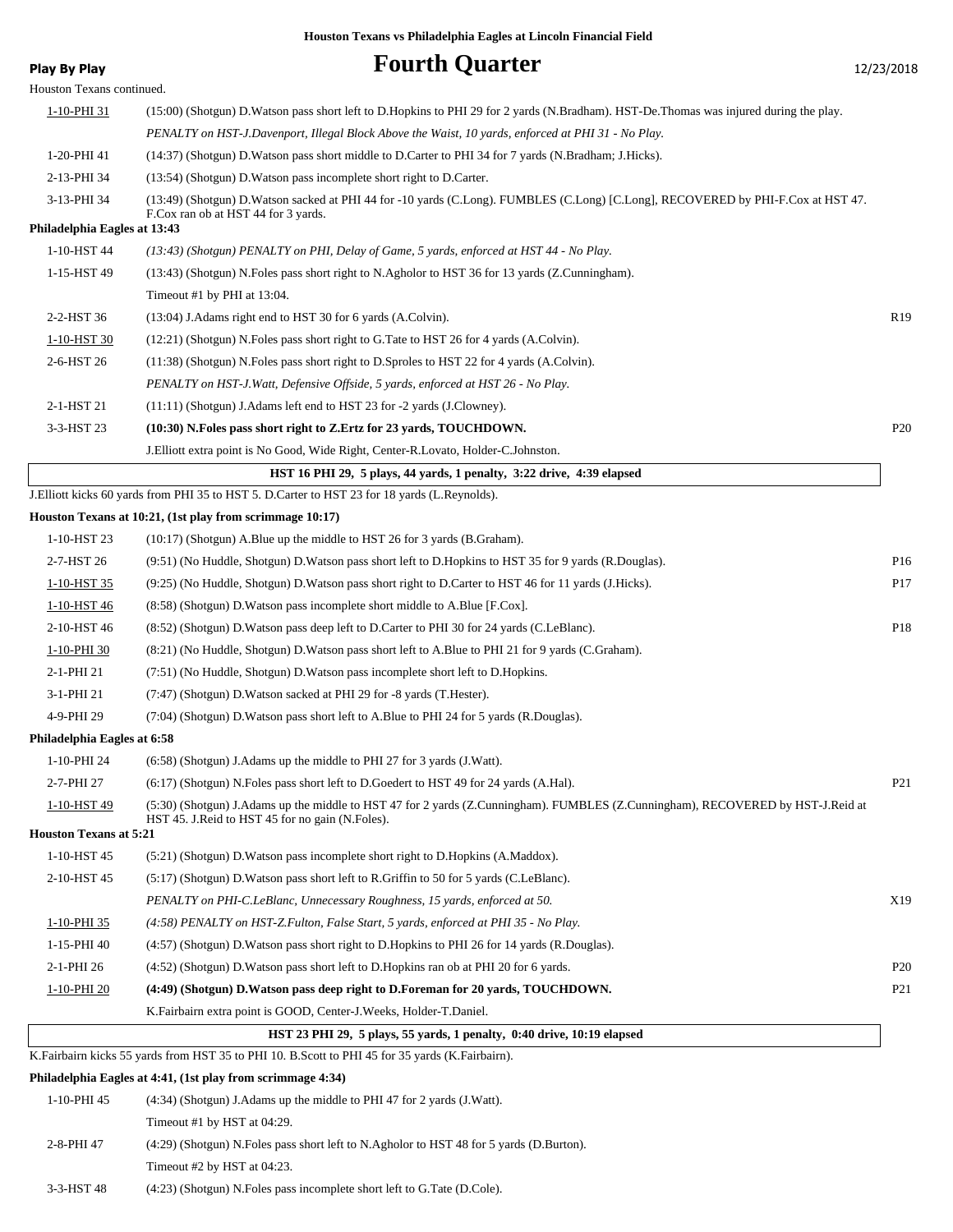# **Play By Play Play Play Fourth Quarter** 12/23/2018 Houston Texans continued. 1-10-PHI 31 (15:00) (Shotgun) D.Watson pass short left to D.Hopkins to PHI 29 for 2 yards (N.Bradham). HST-De.Thomas was injured during the play. *PENALTY on HST-J.Davenport, Illegal Block Above the Waist, 10 yards, enforced at PHI 31 - No Play.* 1-20-PHI 41 (14:37) (Shotgun) D.Watson pass short middle to D.Carter to PHI 34 for 7 yards (N.Bradham; J.Hicks). 2-13-PHI 34 (13:54) (Shotgun) D.Watson pass incomplete short right to D.Carter. (13:49) (Shotgun) D.Watson sacked at PHI 44 for -10 yards (C.Long). FUMBLES (C.Long) [C.Long], RECOVERED by PHI-F.Cox at HST 47. F.Cox ran ob at HST 44 for 3 yards. 3-13-PHI 34 **Philadelphia Eagles at 13:43** 1-10-HST 44 *(13:43) (Shotgun) PENALTY on PHI, Delay of Game, 5 yards, enforced at HST 44 - No Play.* 1-15-HST 49 (13:43) (Shotgun) N.Foles pass short right to N.Agholor to HST 36 for 13 yards (Z.Cunningham). Timeout #1 by PHI at 13:04. 2-2-HST 36 (13:04) J.Adams right end to HST 30 for 6 yards (A.Colvin). R19 1-10-HST 30 (12:21) (Shotgun) N.Foles pass short right to G.Tate to HST 26 for 4 yards (A.Colvin). 2-6-HST 26 (11:38) (Shotgun) N.Foles pass short right to D.Sproles to HST 22 for 4 yards (A.Colvin). *PENALTY on HST-J.Watt, Defensive Offside, 5 yards, enforced at HST 26 - No Play.* 2-1-HST 21 (11:11) (Shotgun) J.Adams left end to HST 23 for -2 yards (J.Clowney). 3-3-HST 23 **(10:30) N.Foles pass short right to Z.Ertz for 23 yards, TOUCHDOWN.** P20 J.Elliott extra point is No Good, Wide Right, Center-R.Lovato, Holder-C.Johnston.  **HST 16 PHI 29, 5 plays, 44 yards, 1 penalty, 3:22 drive, 4:39 elapsed** J.Elliott kicks 60 yards from PHI 35 to HST 5. D.Carter to HST 23 for 18 yards (L.Reynolds). **Houston Texans at 10:21, (1st play from scrimmage 10:17)** 1-10-HST 23 (10:17) (Shotgun) A.Blue up the middle to HST 26 for 3 yards (B.Graham). 2-7-HST 26 (9:51) (No Huddle, Shotgun) D.Watson pass short left to D.Hopkins to HST 35 for 9 yards (R.Douglas). P16 1-10-HST 35 (9:25) (No Huddle, Shotgun) D.Watson pass short right to D.Carter to HST 46 for 11 yards (J.Hicks). P17 1-10-HST 46 (8:58) (Shotgun) D.Watson pass incomplete short middle to A.Blue [F.Cox]. 2-10-HST 46 (8:52) (Shotgun) D.Watson pass deep left to D.Carter to PHI 30 for 24 yards (C.LeBlanc). P18 1-10-PHI 30 (8:21) (No Huddle, Shotgun) D.Watson pass short left to A.Blue to PHI 21 for 9 yards (C.Graham). 2-1-PHI 21 (7:51) (No Huddle, Shotgun) D.Watson pass incomplete short left to D.Hopkins. 3-1-PHI 21 (7:47) (Shotgun) D.Watson sacked at PHI 29 for -8 yards (T.Hester). 4-9-PHI 29 (7:04) (Shotgun) D.Watson pass short left to A.Blue to PHI 24 for 5 yards (R.Douglas). **Philadelphia Eagles at 6:58** 1-10-PHI 24 (6:58) (Shotgun) J.Adams up the middle to PHI 27 for 3 yards (J.Watt). 2-7-PHI 27 (6:17) (Shotgun) N.Foles pass short left to D.Goedert to HST 49 for 24 yards (A.Hal). P21 (5:30) (Shotgun) J.Adams up the middle to HST 47 for 2 yards (Z.Cunningham). FUMBLES (Z.Cunningham), RECOVERED by HST-J.Reid at HST 45. J.Reid to HST 45 for no gain (N.Foles). 1-10-HST 49 **Houston Texans at 5:21** 1-10-HST 45 (5:21) (Shotgun) D.Watson pass incomplete short right to D.Hopkins (A.Maddox). 2-10-HST 45 (5:17) (Shotgun) D.Watson pass short left to R.Griffin to 50 for 5 yards (C.LeBlanc). *PENALTY on PHI-C.LeBlanc, Unnecessary Roughness, 15 yards, enforced at 50.* X19 1-10-PHI 35 *(4:58) PENALTY on HST-Z.Fulton, False Start, 5 yards, enforced at PHI 35 - No Play.* 1-15-PHI 40 (4:57) (Shotgun) D.Watson pass short right to D.Hopkins to PHI 26 for 14 yards (R.Douglas). 2-1-PHI 26 (4:52) (Shotgun) D.Watson pass short left to D.Hopkins ran ob at PHI 20 for 6 yards. P20 1-10-PHI 20 **(4:49) (Shotgun) D.Watson pass deep right to D.Foreman for 20 yards, TOUCHDOWN.** P21 K.Fairbairn extra point is GOOD, Center-J.Weeks, Holder-T.Daniel.  **HST 23 PHI 29, 5 plays, 55 yards, 1 penalty, 0:40 drive, 10:19 elapsed** K.Fairbairn kicks 55 yards from HST 35 to PHI 10. B.Scott to PHI 45 for 35 yards (K.Fairbairn). **Philadelphia Eagles at 4:41, (1st play from scrimmage 4:34)**

1-10-PHI 45 (4:34) (Shotgun) J.Adams up the middle to PHI 47 for 2 yards (J.Watt). Timeout #1 by HST at 04:29. 2-8-PHI 47 (4:29) (Shotgun) N.Foles pass short left to N.Agholor to HST 48 for 5 yards (D.Burton). Timeout #2 by HST at 04:23.

3-3-HST 48 (4:23) (Shotgun) N.Foles pass incomplete short left to G.Tate (D.Cole).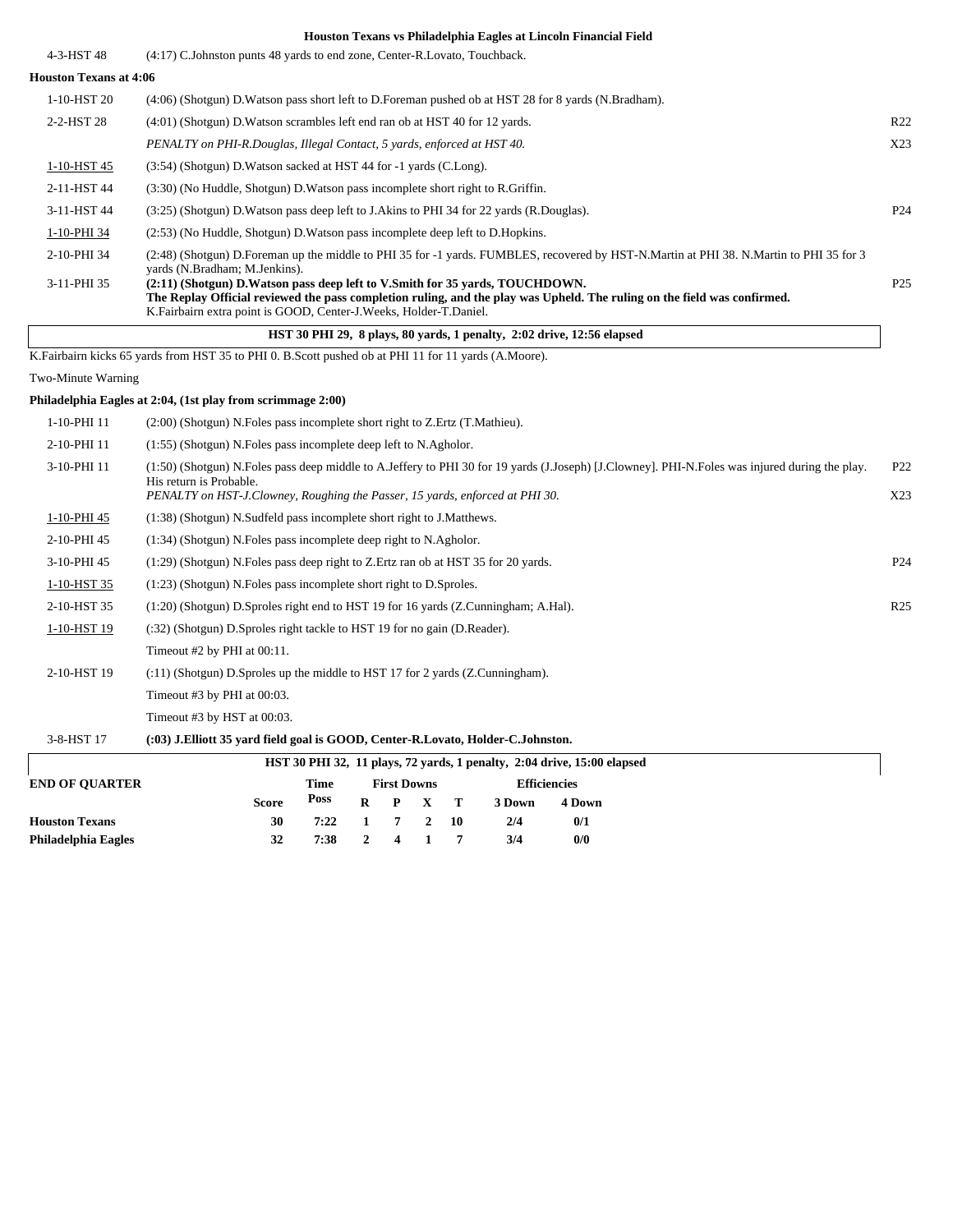| 4-3-HST 48                    | (4:17) C.Johnston punts 48 yards to end zone, Center-R.Lovato, Touchback.                                                                                                                                                                                                       |                 |
|-------------------------------|---------------------------------------------------------------------------------------------------------------------------------------------------------------------------------------------------------------------------------------------------------------------------------|-----------------|
| <b>Houston Texans at 4:06</b> |                                                                                                                                                                                                                                                                                 |                 |
| 1-10-HST 20                   | (4:06) (Shotgun) D. Watson pass short left to D. Foreman pushed ob at HST 28 for 8 yards (N. Bradham).                                                                                                                                                                          |                 |
| 2-2-HST 28                    | (4:01) (Shotgun) D. Watson scrambles left end ran ob at HST 40 for 12 yards.                                                                                                                                                                                                    | R <sub>22</sub> |
|                               | PENALTY on PHI-R.Douglas, Illegal Contact, 5 yards, enforced at HST 40.                                                                                                                                                                                                         | X23             |
| 1-10-HST 45                   | (3:54) (Shotgun) D. Watson sacked at HST 44 for -1 yards (C. Long).                                                                                                                                                                                                             |                 |
| 2-11-HST 44                   | (3:30) (No Huddle, Shotgun) D. Watson pass incomplete short right to R. Griffin.                                                                                                                                                                                                |                 |
| 3-11-HST 44                   | (3.25) (Shotgun) D. Watson pass deep left to J. Akins to PHI 34 for 22 yards (R. Douglas).                                                                                                                                                                                      | P <sub>24</sub> |
| 1-10-PHI 34                   | (2.53) (No Huddle, Shotgun) D. Watson pass incomplete deep left to D. Hopkins.                                                                                                                                                                                                  |                 |
| 2-10-PHI 34                   | (2:48) (Shotgun) D.Foreman up the middle to PHI 35 for -1 yards. FUMBLES, recovered by HST-N.Martin at PHI 38. N.Martin to PHI 35 for 3<br>vards (N.Bradham; M.Jenkins).                                                                                                        |                 |
| 3-11-PHI 35                   | (2:11) (Shotgun) D. Watson pass deep left to V. Smith for 35 yards, TOUCHDOWN.<br>The Replay Official reviewed the pass completion ruling, and the play was Upheld. The ruling on the field was confirmed.<br>K.Fairbairn extra point is GOOD, Center-J.Weeks, Holder-T.Daniel. | P <sub>25</sub> |
|                               | HST 30 PHI 29, 8 plays, 80 yards, 1 penalty, 2:02 drive, 12:56 elapsed                                                                                                                                                                                                          |                 |
|                               | K. Fairbairn kicks 65 yards from HST 35 to PHI 0. B. Scott pushed ob at PHI 11 for 11 yards (A. Moore).                                                                                                                                                                         |                 |
| Two-Minute Warning            |                                                                                                                                                                                                                                                                                 |                 |

#### **Philadelphia Eagles at 2:04, (1st play from scrimmage 2:00)**

| 1-10-PHI 11       | $(2:00)$ (Shotgun) N. Foles pass incomplete short right to Z. Ertz $(T.\text{Mathieu})$ .                                                                                                                                                                      |                        |
|-------------------|----------------------------------------------------------------------------------------------------------------------------------------------------------------------------------------------------------------------------------------------------------------|------------------------|
| 2-10-PHI 11       | (1:55) (Shotgun) N. Foles pass incomplete deep left to N. Agholor.                                                                                                                                                                                             |                        |
| 3-10-PHI 11       | (1:50) (Shotgun) N. Foles pass deep middle to A. Jeffery to PHI 30 for 19 yards (J. Joseph) [J. Clowney]. PHI-N. Foles was injured during the play.<br>His return is Probable.<br>PENALTY on HST-J.Clowney, Roughing the Passer, 15 yards, enforced at PHI 30. | P <sub>22</sub><br>X23 |
| 1-10-PHI 45       | (1:38) (Shotgun) N.Sudfeld pass incomplete short right to J.Matthews.                                                                                                                                                                                          |                        |
| 2-10-PHI 45       | (1:34) (Shotgun) N. Foles pass incomplete deep right to N. Agholor.                                                                                                                                                                                            |                        |
| 3-10-PHI 45       | $(1:29)$ (Shotgun) N. Foles pass deep right to Z. Ertz ran ob at HST 35 for 20 yards.                                                                                                                                                                          | P <sub>24</sub>        |
| 1-10-HST 35       | $(1:23)$ (Shotgun) N. Foles pass incomplete short right to D. Sproles.                                                                                                                                                                                         |                        |
| 2-10-HST 35       | $(1:20)$ (Shotgun) D.Sproles right end to HST 19 for 16 yards (Z.Cunningham; A.Hal).                                                                                                                                                                           | R <sub>25</sub>        |
| 1-10-HST 19       | (:32) (Shotgun) D.Sproles right tackle to HST 19 for no gain (D.Reader).                                                                                                                                                                                       |                        |
|                   | Timeout $#2$ by PHI at $00:11$ .                                                                                                                                                                                                                               |                        |
| 2-10-HST 19       | $(11)$ (Shotgun) D.Sproles up the middle to HST 17 for 2 yards (Z.Cunningham).                                                                                                                                                                                 |                        |
|                   | Timeout #3 by PHI at $00:03$ .                                                                                                                                                                                                                                 |                        |
|                   | Timeout #3 by HST at $00:03$ .                                                                                                                                                                                                                                 |                        |
| $2.0$ TIOTH $1.7$ | $(0.9)$ true $(0.97)$ , $(0.000000)$ , $(0.7)$ , $(0.7)$ , $(0.7)$                                                                                                                                                                                             |                        |

#### 3-8-HST 17 **(:03) J.Elliott 35 yard field goal is GOOD, Center-R.Lovato, Holder-C.Johnston.**

| HST 30 PHI 32, 11 plays, 72 yards, 1 penalty, 2:04 drive, 15:00 elapsed |              |      |          |                    |                 |  |                     |        |  |  |  |  |
|-------------------------------------------------------------------------|--------------|------|----------|--------------------|-----------------|--|---------------------|--------|--|--|--|--|
| <b>END OF OUARTER</b>                                                   |              | Time |          | <b>First Downs</b> |                 |  | <b>Efficiencies</b> |        |  |  |  |  |
|                                                                         | <b>Score</b> | Poss |          |                    | $R$ $P$ $X$ $T$ |  | 3 Down              | 4 Down |  |  |  |  |
| <b>Houston Texans</b>                                                   | 30           | 7:22 | 1 7 2 10 |                    |                 |  | 2/4                 | 0/1    |  |  |  |  |
| Philadelphia Eagles                                                     | 32           | 7:38 | 2 4 1 7  |                    |                 |  | 3/4                 | 0/0    |  |  |  |  |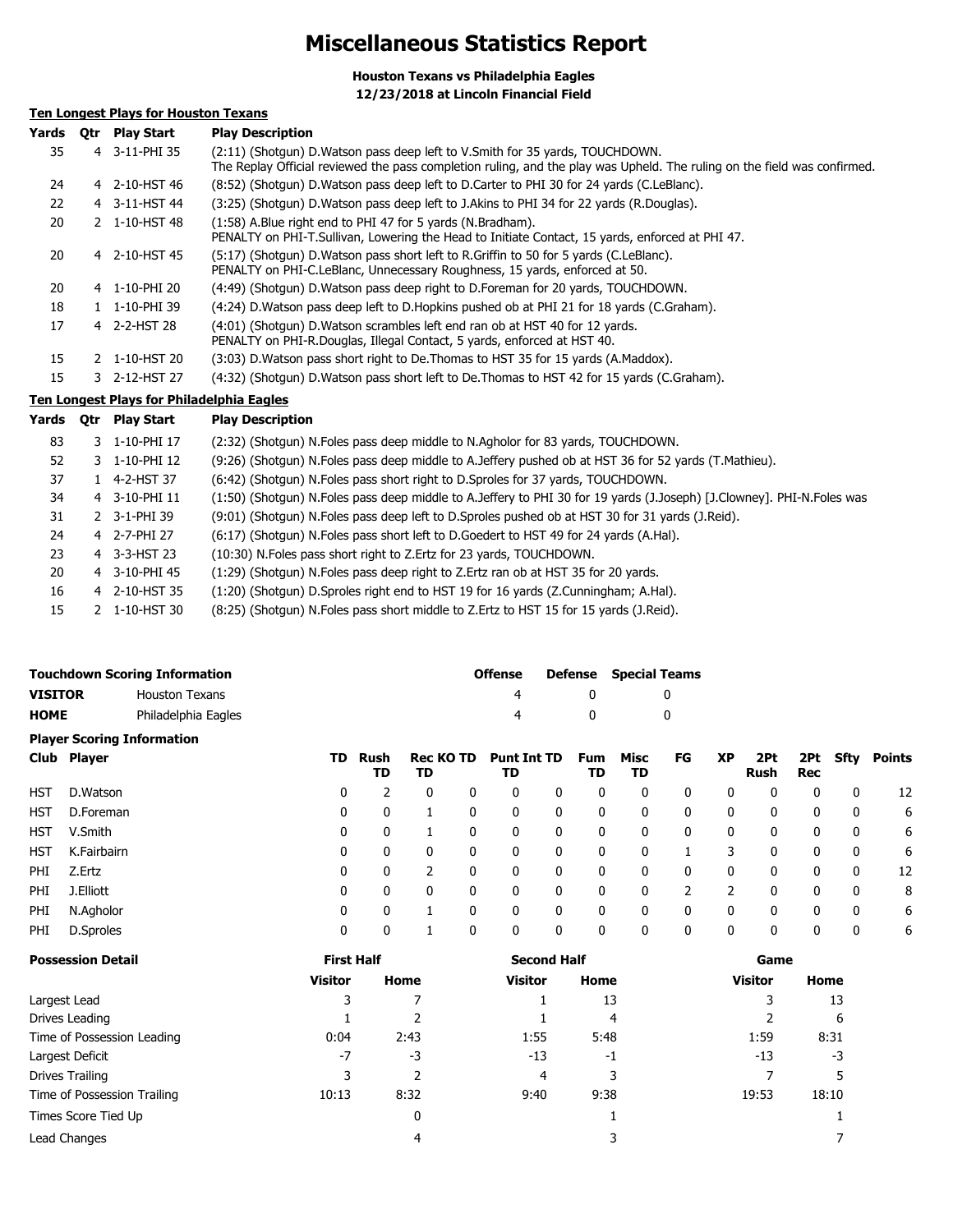# **Miscellaneous Statistics Report**

**Houston Texans vs Philadelphia Eagles 12/23/2018 at Lincoln Financial Field**

## **Ten Longest Plays for Houston Texans**

| Yards | 0tr | <b>Play Start</b>                         | <b>Play Description</b>                                                                                                                                                                                    |
|-------|-----|-------------------------------------------|------------------------------------------------------------------------------------------------------------------------------------------------------------------------------------------------------------|
| 35    |     | 4 3-11-PHI 35                             | (2:11) (Shotqun) D. Watson pass deep left to V. Smith for 35 yards, TOUCHDOWN.<br>The Replay Official reviewed the pass completion ruling, and the play was Upheld. The ruling on the field was confirmed. |
| 24    |     | 4 2-10-HST 46                             | (8:52) (Shotgun) D. Watson pass deep left to D. Carter to PHI 30 for 24 yards (C. LeBlanc).                                                                                                                |
| 22    |     | 4 3-11-HST 44                             | (3:25) (Shotgun) D. Watson pass deep left to J. Akins to PHI 34 for 22 yards (R. Douglas).                                                                                                                 |
| 20    |     | 2 1-10-HST 48                             | (1:58) A.Blue right end to PHI 47 for 5 yards (N.Bradham).<br>PENALTY on PHI-T.Sullivan, Lowering the Head to Initiate Contact, 15 yards, enforced at PHI 47.                                              |
| 20    |     | 4 2-10-HST 45                             | (5:17) (Shotgun) D. Watson pass short left to R. Griffin to 50 for 5 yards (C. LeBlanc).<br>PENALTY on PHI-C.LeBlanc, Unnecessary Roughness, 15 yards, enforced at 50.                                     |
| 20    |     | 4 1-10-PHI 20                             | (4:49) (Shotgun) D. Watson pass deep right to D. Foreman for 20 yards, TOUCHDOWN.                                                                                                                          |
| 18    |     | 1 1-10-PHI 39                             | (4:24) D. Watson pass deep left to D. Hopkins pushed ob at PHI 21 for 18 yards (C. Graham).                                                                                                                |
| 17    |     | 4 2-2-HST 28                              | (4:01) (Shotgun) D. Watson scrambles left end ran ob at HST 40 for 12 yards.<br>PENALTY on PHI-R.Douglas, Illegal Contact, 5 yards, enforced at HST 40.                                                    |
| 15    |     | 2 1-10-HST 20                             | (3:03) D. Watson pass short right to De. Thomas to HST 35 for 15 yards (A. Maddox).                                                                                                                        |
| 15    |     | 3 2-12-HST 27                             | (4:32) (Shotgun) D. Watson pass short left to De. Thomas to HST 42 for 15 yards (C. Graham).                                                                                                               |
|       |     | Ten Longest Diave for Dhiladelphia Eagles |                                                                                                                                                                                                            |

# **Ten Longest Plays for Philadelphia Eagles**

| Yards | 0tr | <b>Play Start</b> | <b>Play Description</b>                                                                                               |
|-------|-----|-------------------|-----------------------------------------------------------------------------------------------------------------------|
| 83    |     | 3 1-10-PHI 17     | (2:32) (Shotgun) N. Foles pass deep middle to N. Agholor for 83 yards, TOUCHDOWN.                                     |
| 52    |     | 3 1-10-PHI 12     | (9:26) (Shotgun) N. Foles pass deep middle to A. Jeffery pushed ob at HST 36 for 52 yards (T. Mathieu).               |
| 37    |     | 1 4-2-HST 37      | (6:42) (Shotgun) N. Foles pass short right to D. Sproles for 37 yards, TOUCHDOWN.                                     |
| 34    |     | 4 3-10-PHI 11     | (1:50) (Shotgun) N.Foles pass deep middle to A.Jeffery to PHI 30 for 19 yards (J.Joseph) [J.Clowney]. PHI-N.Foles was |
| 31    |     | 2 3-1-PHI 39      | (9:01) (Shotgun) N.Foles pass deep left to D.Sproles pushed ob at HST 30 for 31 yards (J.Reid).                       |
| 24    |     | 4 2-7-PHI 27      | (6:17) (Shotgun) N. Foles pass short left to D. Goedert to HST 49 for 24 yards (A. Hal).                              |
| 23    |     | 4 3-3-HST 23      | (10:30) N.Foles pass short right to Z.Ertz for 23 yards, TOUCHDOWN.                                                   |
| 20    |     | 4 3-10-PHI 45     | (1:29) (Shotqun) N. Foles pass deep right to Z. Ertz ran ob at HST 35 for 20 yards.                                   |
| 16    |     | 4 2-10-HST 35     | (1:20) (Shotqun) D.Sproles right end to HST 19 for 16 yards (Z.Cunningham; A.Hal).                                    |
| 15    |     | 2 1-10-HST 30     | (8:25) (Shotgun) N. Foles pass short middle to Z. Ertz to HST 15 for 15 yards (J. Reid).                              |
|       |     |                   |                                                                                                                       |

|                |             | <b>Touchdown Scoring Information</b> |    |            |                        |   | <b>Offense</b>           |              | <b>Defense</b>   | <b>Special Teams</b> |              |           |                    |                   |              |               |
|----------------|-------------|--------------------------------------|----|------------|------------------------|---|--------------------------|--------------|------------------|----------------------|--------------|-----------|--------------------|-------------------|--------------|---------------|
| <b>VISITOR</b> |             | <b>Houston Texans</b>                |    |            |                        |   | 4                        |              | 0                |                      | 0            |           |                    |                   |              |               |
| <b>HOME</b>    |             | Philadelphia Eagles                  |    |            |                        |   | 4                        |              | 0                |                      | 0            |           |                    |                   |              |               |
|                |             | <b>Player Scoring Information</b>    |    |            |                        |   |                          |              |                  |                      |              |           |                    |                   |              |               |
|                | Club Player |                                      | TD | Rush<br>TD | <b>Rec KO TD</b><br>TD |   | <b>Punt Int TD</b><br>TD |              | <b>Fum</b><br>TD | Misc<br>TD           | FG           | <b>XP</b> | 2Pt<br><b>Rush</b> | 2Pt<br><b>Rec</b> | <b>Sfty</b>  | <b>Points</b> |
| HST            | D.Watson    |                                      | 0  |            | 0                      | 0 | 0                        | $\mathbf{0}$ | 0                | 0                    | 0            | 0         | 0                  | 0                 | $\mathbf{0}$ | 12            |
| <b>HST</b>     | D.Foreman   |                                      | 0  | 0          |                        | 0 | $\mathbf{0}$             | $\mathbf{0}$ | 0                | $\mathbf{0}$         | $\mathbf{0}$ | 0         | 0                  | 0                 | $\mathbf{0}$ | 6             |
| HST            | V.Smith     |                                      | 0  | 0          |                        | 0 | 0                        | 0            | 0                | 0                    | 0            | 0         | 0                  | 0                 | 0            | 6             |
| HST            | K.Fairbairn |                                      | 0  | 0          | 0                      | 0 | 0                        | 0            | 0                | 0                    |              | 3         | 0                  | 0                 | 0            | 6             |
| PHI            | Z.Ertz      |                                      | 0  | 0          | $\overline{2}$         | 0 | $\mathbf{0}$             | $\mathbf{0}$ | 0                | $\mathbf{0}$         | 0            | 0         | 0                  | 0                 | 0            | 12            |
| PHI            | J.Elliott   |                                      | 0  | 0          | 0                      | 0 | 0                        | 0            | 0                | 0                    | 2            |           | 0                  | 0                 | 0            | 8             |
| PHI            | N.Agholor   |                                      | 0  | 0          |                        | 0 | 0                        | 0            | 0                | 0                    | 0            | 0         | 0                  | 0                 | 0            | 6             |
| PHI            | D.Sproles   |                                      | 0  | 0          |                        | 0 | 0                        | 0            | 0                | 0                    | 0            | 0         | 0                  | 0                 | 0            | 6             |

| <b>Possession Detail</b>    | <b>First Half</b> |      | <b>Second Half</b> |      | Game           |       |  |
|-----------------------------|-------------------|------|--------------------|------|----------------|-------|--|
|                             | <b>Visitor</b>    | Home | <b>Visitor</b>     | Home | <b>Visitor</b> | Home  |  |
| Largest Lead                | 3                 |      |                    | 13   |                | 13    |  |
| Drives Leading              |                   |      |                    | 4    |                | 6     |  |
| Time of Possession Leading  | 0:04              | 2:43 | 1:55               | 5:48 | 1:59           | 8:31  |  |
| Largest Deficit             | $-7$              | -3   | $-13$              | $-1$ | $-13$          | -3    |  |
| Drives Trailing             |                   |      | 4                  |      |                |       |  |
| Time of Possession Trailing | 10:13             | 8:32 | 9:40               | 9:38 | 19:53          | 18:10 |  |
| Times Score Tied Up         |                   | 0    |                    |      |                |       |  |
| Lead Changes                |                   |      |                    |      |                |       |  |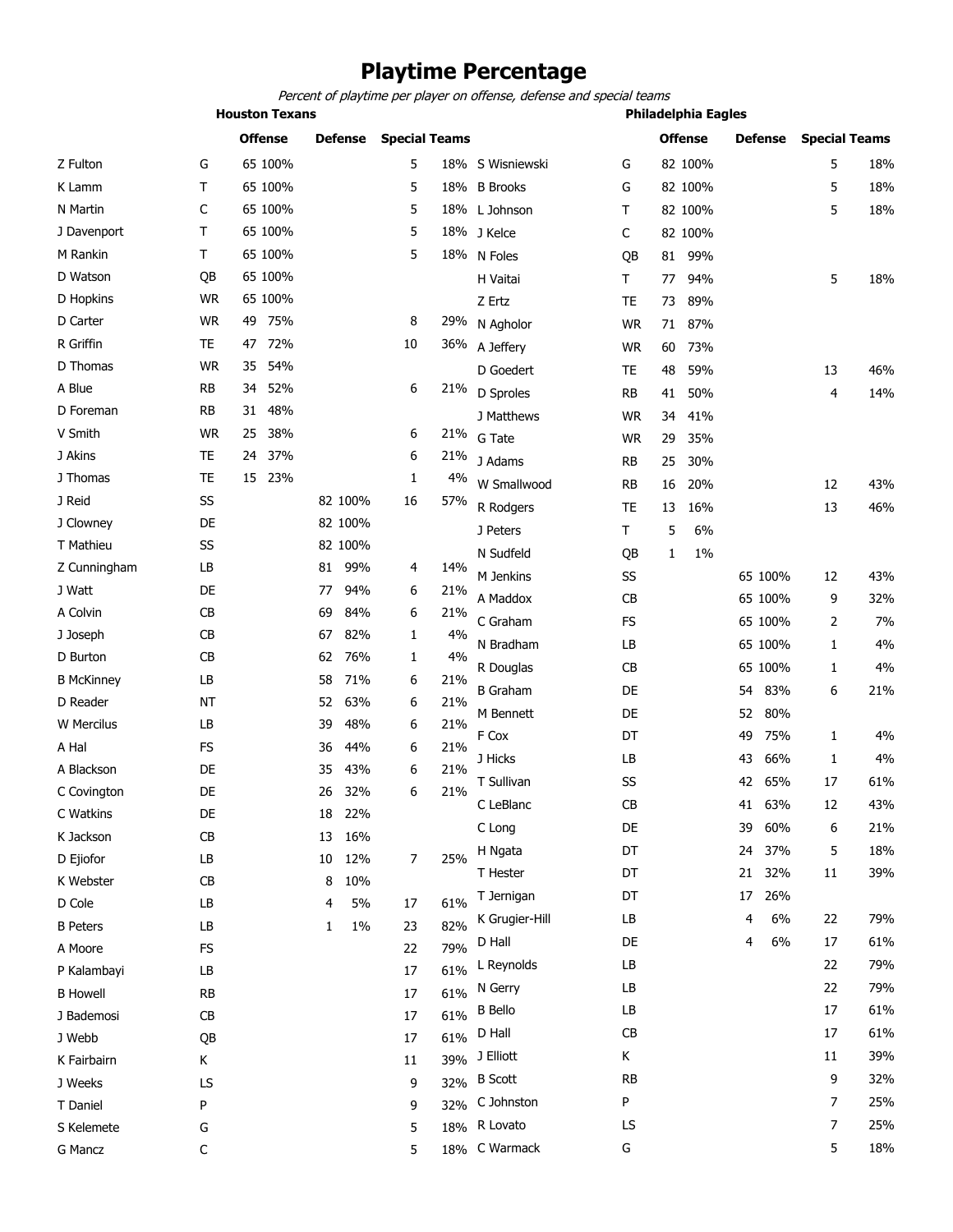# **Playtime Percentage**

*Percent of playtime per player on offense, defense and special teams*

|              |                | <b>Houston Texans</b> |                |                      |       |                  | <b>Philadelphia Eagles</b> |                |                |                      |     |
|--------------|----------------|-----------------------|----------------|----------------------|-------|------------------|----------------------------|----------------|----------------|----------------------|-----|
|              |                | <b>Offense</b>        | <b>Defense</b> | <b>Special Teams</b> |       |                  |                            | <b>Offense</b> | <b>Defense</b> | <b>Special Teams</b> |     |
| Z Fulton     | G              | 65 100%               |                | 5                    |       | 18% S Wisniewski | G                          | 82 100%        |                | 5                    | 18% |
| K Lamm       | т              | 65 100%               |                | 5                    |       | 18% B Brooks     | G                          | 82 100%        |                | 5                    | 18% |
| N Martin     | C              | 65 100%               |                | 5                    |       | 18% L Johnson    | т                          | 82 100%        |                | 5                    | 18% |
| J Davenport  | т              | 65 100%               |                | 5                    |       | 18% J Kelce      | C                          | 82 100%        |                |                      |     |
| M Rankin     | т              | 65 100%               |                | 5                    | 18%   | N Foles          | QB                         | 99%<br>81      |                |                      |     |
| D Watson     | QB             | 65 100%               |                |                      |       | H Vaitai         | т                          | 94%<br>77      |                | 5                    | 18% |
| D Hopkins    | <b>WR</b>      | 65 100%               |                |                      |       | Z Ertz           | TE                         | 89%<br>73      |                |                      |     |
| D Carter     | <b>WR</b>      | 75%<br>49             |                | 8                    | 29%   | N Agholor        | <b>WR</b>                  | 71<br>87%      |                |                      |     |
| R Griffin    | <b>TE</b>      | 72%<br>47             |                | 10                   | 36%   | A Jeffery        | <b>WR</b>                  | 73%<br>60      |                |                      |     |
| D Thomas     | <b>WR</b>      | 54%<br>35             |                |                      |       | D Goedert        | TE                         | 48<br>59%      |                | 13                   | 46% |
| A Blue       | <b>RB</b>      | 52%<br>34             |                | 6                    | 21%   | D Sproles        | <b>RB</b>                  | 50%<br>41      |                | 4                    | 14% |
| D Foreman    | <b>RB</b>      | 48%<br>31             |                |                      |       | J Matthews       | <b>WR</b>                  | 41%<br>34      |                |                      |     |
| V Smith      | <b>WR</b>      | 38%<br>25             |                | 6                    | 21%   | G Tate           | <b>WR</b>                  | 29<br>35%      |                |                      |     |
| J Akins      | TE             | 37%<br>24             |                | 6                    | 21%   | J Adams          | <b>RB</b>                  | 30%<br>25      |                |                      |     |
| J Thomas     | <b>TE</b>      | 23%<br>15             |                | 1                    | 4%    | W Smallwood      | RB                         | 20%<br>16      |                | 12                   | 43% |
| J Reid       | SS             |                       | 82 100%        | 16                   | 57%   | R Rodgers        | TE                         | 13<br>16%      |                | 13                   | 46% |
| J Clowney    | DE             |                       | 82 100%        |                      |       | J Peters         | т                          | 5<br>6%        |                |                      |     |
| T Mathieu    | SS             |                       | 82 100%        |                      |       | N Sudfeld        | QB                         | 1%             |                |                      |     |
| 7 Cunningham | $\overline{D}$ |                       | 01000L         | $\overline{A}$       | 1.40L |                  |                            |                |                |                      |     |

| M Rankin          | T         |    | 65 100% |    |         | 5  | 18% | N Foles         | QB        | 81 | 99% |    |         |    |     |
|-------------------|-----------|----|---------|----|---------|----|-----|-----------------|-----------|----|-----|----|---------|----|-----|
| D Watson          | QB        |    | 65 100% |    |         |    |     | H Vaitai        | T.        | 77 | 94% |    |         | 5  | 18% |
| D Hopkins         | <b>WR</b> |    | 65 100% |    |         |    |     | Z Ertz          | TE        | 73 | 89% |    |         |    |     |
| D Carter          | <b>WR</b> | 49 | 75%     |    |         | 8  | 29% | N Agholor       | <b>WR</b> | 71 | 87% |    |         |    |     |
| R Griffin         | <b>TE</b> | 47 | 72%     |    |         | 10 | 36% | A Jeffery       | <b>WR</b> | 60 | 73% |    |         |    |     |
| D Thomas          | <b>WR</b> | 35 | 54%     |    |         |    |     | D Goedert       | TE        | 48 | 59% |    |         | 13 | 46% |
| A Blue            | <b>RB</b> | 34 | 52%     |    |         | 6  | 21% | D Sproles       | <b>RB</b> | 41 | 50% |    |         | 4  | 14% |
| D Foreman         | <b>RB</b> | 31 | 48%     |    |         |    |     | J Matthews      | <b>WR</b> | 34 | 41% |    |         |    |     |
| V Smith           | <b>WR</b> | 25 | 38%     |    |         | 6  | 21% | G Tate          | <b>WR</b> | 29 | 35% |    |         |    |     |
| J Akins           | <b>TE</b> | 24 | 37%     |    |         | 6  | 21% | J Adams         | <b>RB</b> | 25 | 30% |    |         |    |     |
| J Thomas          | <b>TE</b> | 15 | 23%     |    |         | 1  | 4%  | W Smallwood     | <b>RB</b> | 16 | 20% |    |         | 12 | 43% |
| J Reid            | SS        |    |         |    | 82 100% | 16 | 57% | R Rodgers       | TE        | 13 | 16% |    |         | 13 | 46% |
| J Clowney         | DE        |    |         |    | 82 100% |    |     | J Peters        | T.        | 5  | 6%  |    |         |    |     |
| T Mathieu         | SS        |    |         |    | 82 100% |    |     | N Sudfeld       | QB        | 1  | 1%  |    |         |    |     |
| Z Cunningham      | LB        |    |         | 81 | 99%     | 4  | 14% | M Jenkins       | SS        |    |     |    | 65 100% | 12 | 43% |
| J Watt            | DE        |    |         | 77 | 94%     | 6  | 21% | A Maddox        | CB        |    |     |    | 65 100% | 9  | 32% |
| A Colvin          | CB        |    |         | 69 | 84%     | 6  | 21% | C Graham        | <b>FS</b> |    |     |    | 65 100% | 2  | 7%  |
| J Joseph          | CB        |    |         | 67 | 82%     | 1  | 4%  | N Bradham       | LB        |    |     |    | 65 100% | 1  | 4%  |
| D Burton          | CB        |    |         | 62 | 76%     | 1  | 4%  | R Douglas       | <b>CB</b> |    |     |    | 65 100% | 1  | 4%  |
| <b>B McKinney</b> | LB        |    |         | 58 | 71%     | 6  | 21% | <b>B</b> Graham | DE        |    |     | 54 | 83%     | 6  | 21% |
| D Reader          | <b>NT</b> |    |         | 52 | 63%     | 6  | 21% | M Bennett       | DE        |    |     | 52 | 80%     |    |     |
| W Mercilus        | LB        |    |         | 39 | 48%     | 6  | 21% | F Cox           | DT        |    |     | 49 | 75%     | 1  | 4%  |
| A Hal             | FS        |    |         | 36 | 44%     | 6  | 21% | J Hicks         | LB        |    |     | 43 | 66%     | 1  | 4%  |
| A Blackson        | DE        |    |         | 35 | 43%     | 6  | 21% | T Sullivan      | SS        |    |     | 42 | 65%     | 17 | 61% |
| C Covington       | DE        |    |         | 26 | 32%     | 6  | 21% | C LeBlanc       | CB        |    |     | 41 | 63%     | 12 | 43% |
| C Watkins         | DE        |    |         | 18 | 22%     |    |     |                 |           |    |     |    |         |    |     |
| K Jackson         | CB        |    |         | 13 | 16%     |    |     | C Long          | DE        |    |     | 39 | 60%     | 6  | 21% |
| D Ejiofor         | LB        |    |         | 10 | 12%     | 7  | 25% | H Ngata         | DT        |    |     | 24 | 37%     | 5  | 18% |
| K Webster         | CB        |    |         | 8  | 10%     |    |     | T Hester        | DT        |    |     | 21 | 32%     | 11 | 39% |
| D Cole            | LB        |    |         | 4  | 5%      | 17 | 61% | T Jernigan      | DT        |    |     | 17 | 26%     |    |     |
| <b>B</b> Peters   | LB        |    |         | 1  | $1\%$   | 23 | 82% | K Grugier-Hill  | LB        |    |     | 4  | 6%      | 22 | 79% |
| A Moore           | FS        |    |         |    |         | 22 | 79% | D Hall          | DE        |    |     | 4  | $6\%$   | 17 | 61% |
| P Kalambayi       | LB        |    |         |    |         | 17 | 61% | L Reynolds      | LB        |    |     |    |         | 22 | 79% |
| <b>B</b> Howell   | <b>RB</b> |    |         |    |         | 17 | 61% | N Gerry         | LB        |    |     |    |         | 22 | 79% |
| J Bademosi        | CB        |    |         |    |         | 17 | 61% | <b>B</b> Bello  | LB        |    |     |    |         | 17 | 61% |
| J Webb            | QB        |    |         |    |         | 17 | 61% | D Hall          | CB        |    |     |    |         | 17 | 61% |
| K Fairbairn       | K.        |    |         |    |         | 11 |     | 39% J Elliott   | К         |    |     |    |         | 11 | 39% |
| J Weeks           | LS        |    |         |    |         | 9  |     | 32% B Scott     | <b>RB</b> |    |     |    |         | 9  | 32% |
| T Daniel          | P         |    |         |    |         | 9  |     | 32% C Johnston  | P         |    |     |    |         | 7  | 25% |
| S Kelemete        | G         |    |         |    |         | 5  |     | 18% R Lovato    | LS        |    |     |    |         | 7  | 25% |
| G Mancz           | С         |    |         |    |         | 5  |     | 18% C Warmack   | G         |    |     |    |         | 5  | 18% |
|                   |           |    |         |    |         |    |     |                 |           |    |     |    |         |    |     |